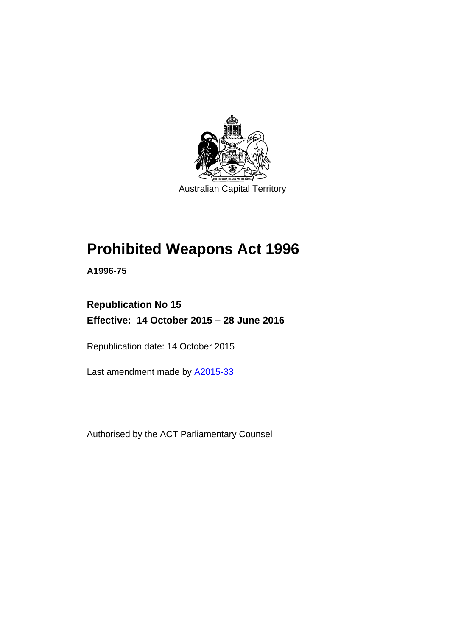

Australian Capital Territory

# **Prohibited Weapons Act 1996**

**A1996-75** 

# **Republication No 15 Effective: 14 October 2015 – 28 June 2016**

Republication date: 14 October 2015

Last amendment made by [A2015-33](http://www.legislation.act.gov.au/a/2015-33)

Authorised by the ACT Parliamentary Counsel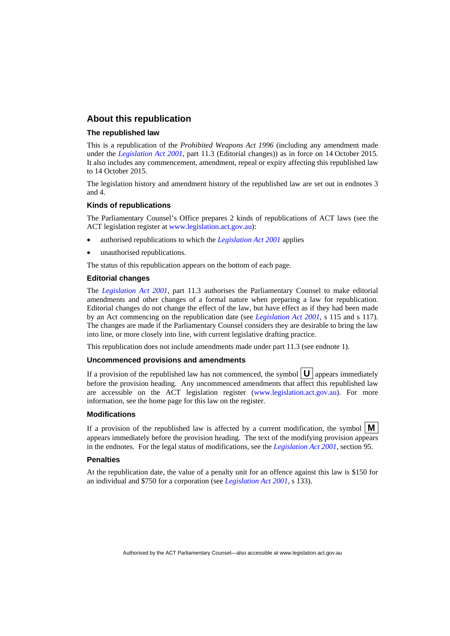### **About this republication**

### **The republished law**

This is a republication of the *Prohibited Weapons Act 1996* (including any amendment made under the *[Legislation Act 2001](http://www.legislation.act.gov.au/a/2001-14)*, part 11.3 (Editorial changes)) as in force on 14 October 2015*.*  It also includes any commencement, amendment, repeal or expiry affecting this republished law to 14 October 2015.

The legislation history and amendment history of the republished law are set out in endnotes 3 and 4.

#### **Kinds of republications**

The Parliamentary Counsel's Office prepares 2 kinds of republications of ACT laws (see the ACT legislation register at [www.legislation.act.gov.au](http://www.legislation.act.gov.au/)):

- authorised republications to which the *[Legislation Act 2001](http://www.legislation.act.gov.au/a/2001-14)* applies
- unauthorised republications.

The status of this republication appears on the bottom of each page.

#### **Editorial changes**

The *[Legislation Act 2001](http://www.legislation.act.gov.au/a/2001-14)*, part 11.3 authorises the Parliamentary Counsel to make editorial amendments and other changes of a formal nature when preparing a law for republication. Editorial changes do not change the effect of the law, but have effect as if they had been made by an Act commencing on the republication date (see *[Legislation Act 2001](http://www.legislation.act.gov.au/a/2001-14)*, s 115 and s 117). The changes are made if the Parliamentary Counsel considers they are desirable to bring the law into line, or more closely into line, with current legislative drafting practice.

This republication does not include amendments made under part 11.3 (see endnote 1).

#### **Uncommenced provisions and amendments**

If a provision of the republished law has not commenced, the symbol  $\mathbf{U}$  appears immediately before the provision heading. Any uncommenced amendments that affect this republished law are accessible on the ACT legislation register [\(www.legislation.act.gov.au\)](http://www.legislation.act.gov.au/). For more information, see the home page for this law on the register.

#### **Modifications**

If a provision of the republished law is affected by a current modification, the symbol  $\mathbf{M}$ appears immediately before the provision heading. The text of the modifying provision appears in the endnotes. For the legal status of modifications, see the *[Legislation Act 2001](http://www.legislation.act.gov.au/a/2001-14)*, section 95.

#### **Penalties**

At the republication date, the value of a penalty unit for an offence against this law is \$150 for an individual and \$750 for a corporation (see *[Legislation Act 2001](http://www.legislation.act.gov.au/a/2001-14)*, s 133).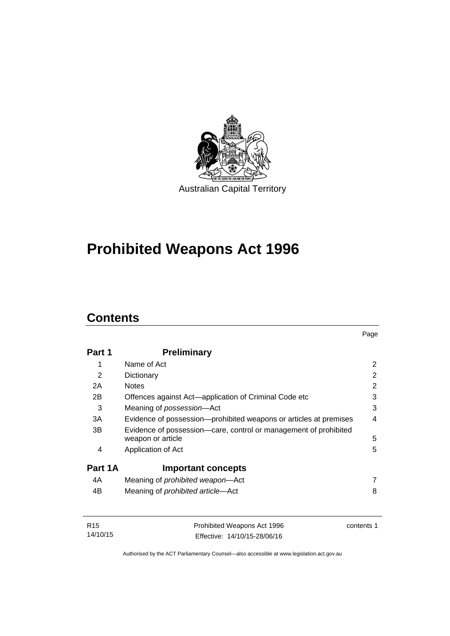

# **Prohibited Weapons Act 1996**

# **Contents**

| Part 1  | <b>Preliminary</b>                                                                    |   |
|---------|---------------------------------------------------------------------------------------|---|
| 1       | Name of Act                                                                           | 2 |
| 2       | Dictionary                                                                            | 2 |
| 2A      | <b>Notes</b>                                                                          | 2 |
| 2B      | Offences against Act-application of Criminal Code etc                                 | 3 |
| 3       | Meaning of possession-Act                                                             | 3 |
| 3A      | Evidence of possession—prohibited weapons or articles at premises                     | 4 |
| 3B      | Evidence of possession-care, control or management of prohibited<br>weapon or article | 5 |
| 4       | Application of Act                                                                    | 5 |
| Part 1A | <b>Important concepts</b>                                                             |   |
| 4A      | Meaning of <i>prohibited</i> weapon—Act                                               | 7 |
| 4B      | Meaning of <i>prohibited article</i> —Act                                             | 8 |

| R15      | Prohibited Weapons Act 1996  | contents 1 |
|----------|------------------------------|------------|
| 14/10/15 | Effective: 14/10/15-28/06/16 |            |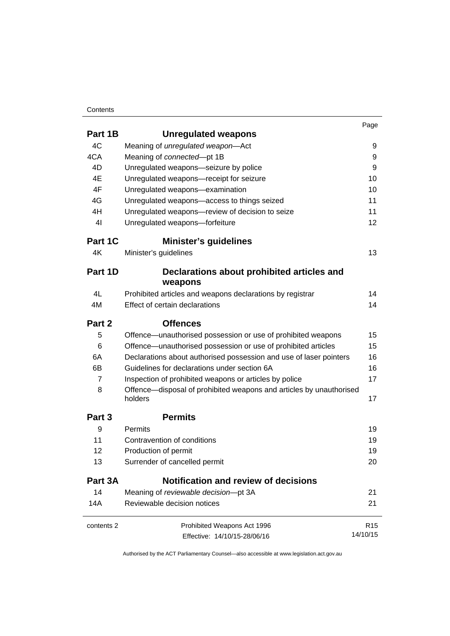### **Contents**

|                   |                                                                                | Page            |
|-------------------|--------------------------------------------------------------------------------|-----------------|
| Part 1B           | <b>Unregulated weapons</b>                                                     |                 |
| 4C                | Meaning of unregulated weapon-Act                                              | 9               |
| 4CA               | Meaning of connected-pt 1B                                                     | 9               |
| 4D                | Unregulated weapons-seizure by police                                          | 9               |
| 4E                | Unregulated weapons-receipt for seizure                                        | 10              |
| 4F                | Unregulated weapons-examination                                                | 10              |
| 4G                | Unregulated weapons-access to things seized                                    | 11              |
| 4H                | Unregulated weapons-review of decision to seize                                | 11              |
| 4 <sub>l</sub>    | Unregulated weapons-forfeiture                                                 | 12              |
| Part 1C           | <b>Minister's guidelines</b>                                                   |                 |
| 4K                | Minister's guidelines                                                          | 13              |
| Part 1D           | Declarations about prohibited articles and                                     |                 |
|                   | weapons                                                                        |                 |
| 4L                | Prohibited articles and weapons declarations by registrar                      | 14              |
| 4M                | Effect of certain declarations                                                 | 14              |
| Part 2            | <b>Offences</b>                                                                |                 |
| 5                 | Offence-unauthorised possession or use of prohibited weapons                   | 15              |
| 6                 | Offence-unauthorised possession or use of prohibited articles                  | 15              |
| 6A                | Declarations about authorised possession and use of laser pointers             | 16              |
| 6B                | Guidelines for declarations under section 6A                                   | 16              |
| $\overline{7}$    | Inspection of prohibited weapons or articles by police                         | 17              |
| 8                 | Offence—disposal of prohibited weapons and articles by unauthorised<br>holders | 17              |
| Part <sub>3</sub> | <b>Permits</b>                                                                 |                 |
| 9                 | Permits                                                                        | 19              |
| 11                | Contravention of conditions                                                    | 19              |
| 12                | Production of permit                                                           | 19              |
| 13                | Surrender of cancelled permit                                                  | 20              |
| Part 3A           | <b>Notification and review of decisions</b>                                    |                 |
| 14                | Meaning of reviewable decision-pt 3A                                           | 21              |
| 14A               | Reviewable decision notices                                                    | 21              |
| contents 2        | Prohibited Weapons Act 1996                                                    | R <sub>15</sub> |
|                   | Effective: 14/10/15-28/06/16                                                   | 14/10/15        |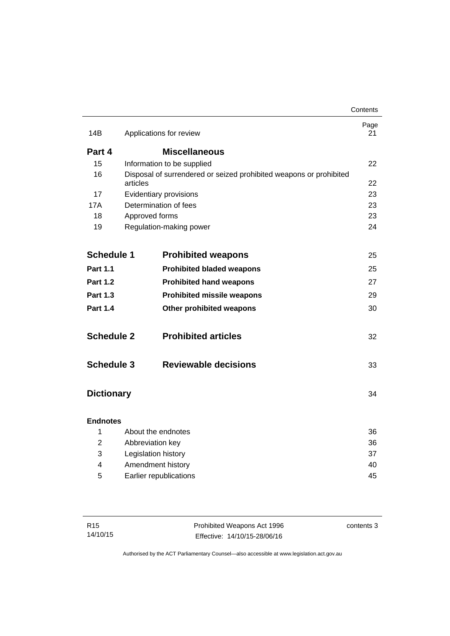|                   |                     |                                                                    | Contents   |
|-------------------|---------------------|--------------------------------------------------------------------|------------|
| 14B               |                     | Applications for review                                            | Page<br>21 |
| Part 4            |                     | <b>Miscellaneous</b>                                               |            |
| 15                |                     | Information to be supplied                                         | 22         |
| 16                |                     | Disposal of surrendered or seized prohibited weapons or prohibited |            |
|                   | articles            |                                                                    | 22         |
| 17                |                     | Evidentiary provisions                                             | 23         |
| 17A               |                     | Determination of fees                                              | 23         |
| 18                | Approved forms      |                                                                    | 23<br>24   |
| 19                |                     | Regulation-making power                                            |            |
|                   |                     |                                                                    |            |
| <b>Schedule 1</b> |                     | <b>Prohibited weapons</b>                                          | 25         |
| <b>Part 1.1</b>   |                     | <b>Prohibited bladed weapons</b>                                   | 25         |
| <b>Part 1.2</b>   |                     | <b>Prohibited hand weapons</b>                                     | 27         |
| <b>Part 1.3</b>   |                     | <b>Prohibited missile weapons</b>                                  | 29         |
| <b>Part 1.4</b>   |                     | Other prohibited weapons                                           | 30         |
| <b>Schedule 2</b> |                     | <b>Prohibited articles</b>                                         | 32         |
| <b>Schedule 3</b> |                     | <b>Reviewable decisions</b>                                        | 33         |
| <b>Dictionary</b> |                     |                                                                    | 34         |
| <b>Endnotes</b>   |                     |                                                                    |            |
| 1                 |                     | About the endnotes                                                 | 36         |
| 2                 | Abbreviation key    |                                                                    | 36         |
| 3                 | Legislation history |                                                                    | 37         |
| 4                 |                     | Amendment history                                                  | 40         |
| 5                 |                     | Earlier republications                                             | 45         |
|                   |                     |                                                                    |            |

| R <sub>15</sub> | Prohibited Weapons Act 1996  | contents 3 |
|-----------------|------------------------------|------------|
| 14/10/15        | Effective: 14/10/15-28/06/16 |            |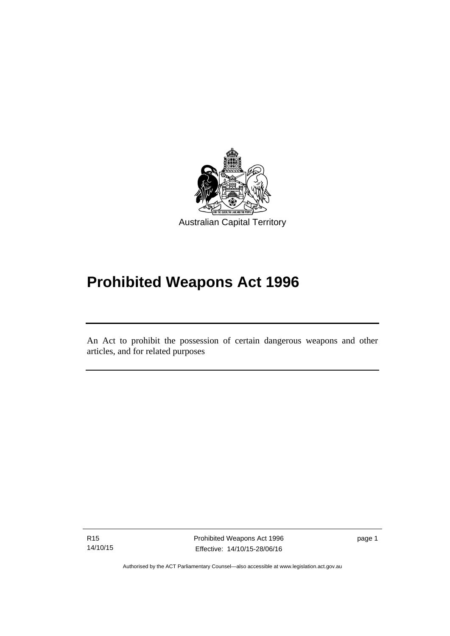

# **Prohibited Weapons Act 1996**

An Act to prohibit the possession of certain dangerous weapons and other articles, and for related purposes

R15 14/10/15

l

Prohibited Weapons Act 1996 Effective: 14/10/15-28/06/16

page 1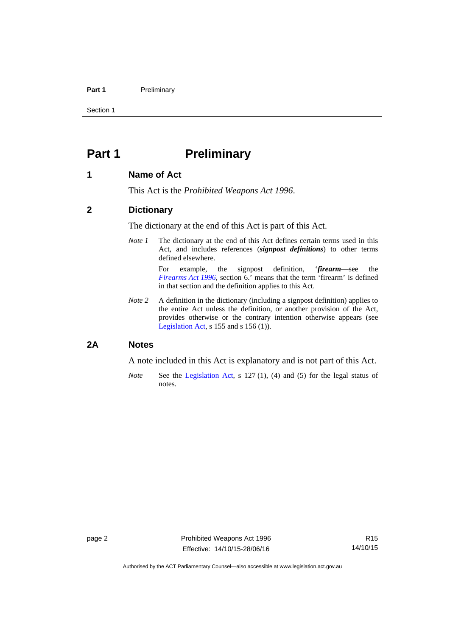### Part 1 **Preliminary**

Section 1

# <span id="page-7-0"></span>**Part 1** Preliminary

### <span id="page-7-1"></span>**1 Name of Act**

This Act is the *Prohibited Weapons Act 1996*.

### <span id="page-7-2"></span>**2 Dictionary**

The dictionary at the end of this Act is part of this Act.

*Note 1* The dictionary at the end of this Act defines certain terms used in this Act, and includes references (*signpost definitions*) to other terms defined elsewhere.

> For example, the signpost definition, '*firearm*—see the *[Firearms Act 1996](http://www.legislation.act.gov.au/a/1996-74)*, section 6.' means that the term 'firearm' is defined in that section and the definition applies to this Act.

*Note 2* A definition in the dictionary (including a signpost definition) applies to the entire Act unless the definition, or another provision of the Act, provides otherwise or the contrary intention otherwise appears (see [Legislation Act,](http://www.legislation.act.gov.au/a/2001-14) s 155 and s 156 (1)).

# <span id="page-7-3"></span>**2A Notes**

A note included in this Act is explanatory and is not part of this Act.

*Note* See the [Legislation Act,](http://www.legislation.act.gov.au/a/2001-14) s 127 (1), (4) and (5) for the legal status of notes.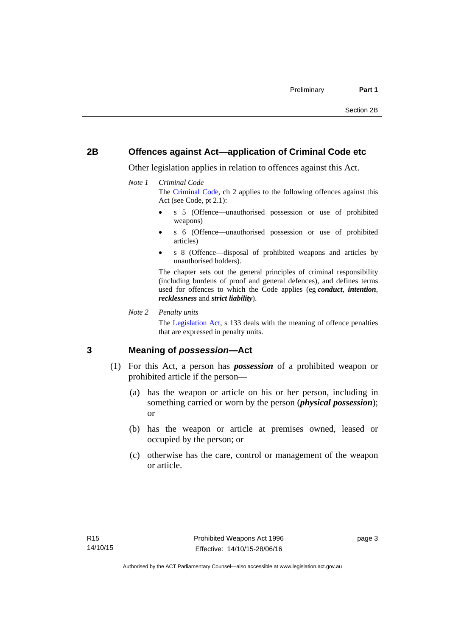# <span id="page-8-0"></span>**2B Offences against Act—application of Criminal Code etc**

Other legislation applies in relation to offences against this Act.

### *Note 1 Criminal Code*

The [Criminal Code](http://www.legislation.act.gov.au/a/2002-51), ch 2 applies to the following offences against this Act (see Code, pt 2.1):

- s 5 (Offence—unauthorised possession or use of prohibited weapons)
- s 6 (Offence—unauthorised possession or use of prohibited articles)
- s 8 (Offence—disposal of prohibited weapons and articles by unauthorised holders).

The chapter sets out the general principles of criminal responsibility (including burdens of proof and general defences), and defines terms used for offences to which the Code applies (eg *conduct*, *intention*, *recklessness* and *strict liability*).

*Note 2 Penalty units* 

The [Legislation Act](http://www.legislation.act.gov.au/a/2001-14), s 133 deals with the meaning of offence penalties that are expressed in penalty units.

# <span id="page-8-1"></span>**3 Meaning of** *possession***—Act**

- (1) For this Act, a person has *possession* of a prohibited weapon or prohibited article if the person—
	- (a) has the weapon or article on his or her person, including in something carried or worn by the person (*physical possession*); or
	- (b) has the weapon or article at premises owned, leased or occupied by the person; or
	- (c) otherwise has the care, control or management of the weapon or article.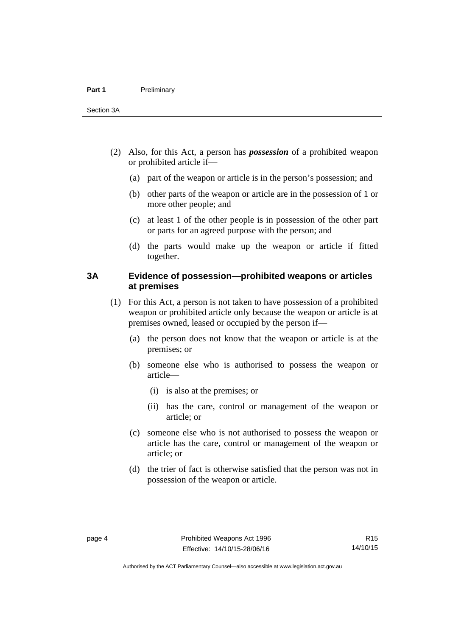- (2) Also, for this Act, a person has *possession* of a prohibited weapon or prohibited article if—
	- (a) part of the weapon or article is in the person's possession; and
	- (b) other parts of the weapon or article are in the possession of 1 or more other people; and
	- (c) at least 1 of the other people is in possession of the other part or parts for an agreed purpose with the person; and
	- (d) the parts would make up the weapon or article if fitted together.

# <span id="page-9-0"></span>**3A Evidence of possession—prohibited weapons or articles at premises**

- (1) For this Act, a person is not taken to have possession of a prohibited weapon or prohibited article only because the weapon or article is at premises owned, leased or occupied by the person if—
	- (a) the person does not know that the weapon or article is at the premises; or
	- (b) someone else who is authorised to possess the weapon or article—
		- (i) is also at the premises; or
		- (ii) has the care, control or management of the weapon or article; or
	- (c) someone else who is not authorised to possess the weapon or article has the care, control or management of the weapon or article; or
	- (d) the trier of fact is otherwise satisfied that the person was not in possession of the weapon or article.

R15 14/10/15

Authorised by the ACT Parliamentary Counsel—also accessible at www.legislation.act.gov.au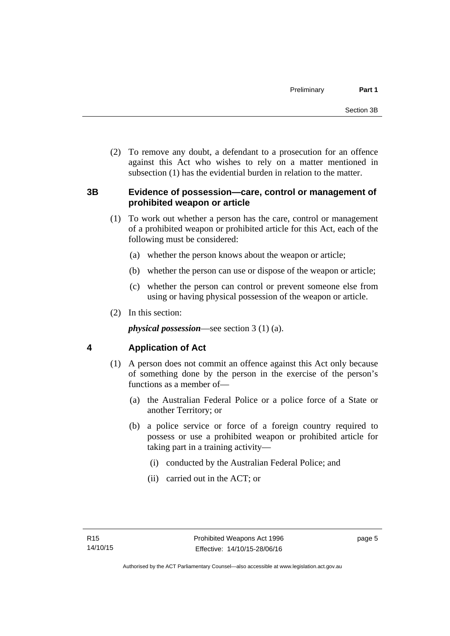(2) To remove any doubt, a defendant to a prosecution for an offence against this Act who wishes to rely on a matter mentioned in subsection (1) has the evidential burden in relation to the matter.

# <span id="page-10-0"></span>**3B Evidence of possession—care, control or management of prohibited weapon or article**

- (1) To work out whether a person has the care, control or management of a prohibited weapon or prohibited article for this Act, each of the following must be considered:
	- (a) whether the person knows about the weapon or article;
	- (b) whether the person can use or dispose of the weapon or article;
	- (c) whether the person can control or prevent someone else from using or having physical possession of the weapon or article.
- (2) In this section:

*physical possession*—see section 3 (1) (a).

# <span id="page-10-1"></span>**4 Application of Act**

- (1) A person does not commit an offence against this Act only because of something done by the person in the exercise of the person's functions as a member of—
	- (a) the Australian Federal Police or a police force of a State or another Territory; or
	- (b) a police service or force of a foreign country required to possess or use a prohibited weapon or prohibited article for taking part in a training activity—
		- (i) conducted by the Australian Federal Police; and
		- (ii) carried out in the ACT; or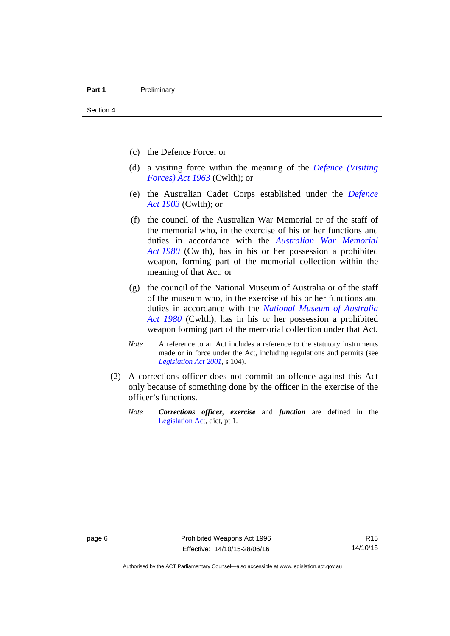- (c) the Defence Force; or
- (d) a visiting force within the meaning of the *[Defence \(Visiting](http://www.comlaw.gov.au/Series/C1963A00081)  [Forces\) Act 1963](http://www.comlaw.gov.au/Series/C1963A00081)* (Cwlth); or
- (e) the Australian Cadet Corps established under the *[Defence](http://www.comlaw.gov.au/Series/C1903A00020)  [Act 1903](http://www.comlaw.gov.au/Series/C1903A00020)* (Cwlth); or
- (f) the council of the Australian War Memorial or of the staff of the memorial who, in the exercise of his or her functions and duties in accordance with the *[Australian War Memorial](http://www.comlaw.gov.au/Series/C2004A02305)  [Act 1980](http://www.comlaw.gov.au/Series/C2004A02305)* (Cwlth), has in his or her possession a prohibited weapon, forming part of the memorial collection within the meaning of that Act; or
- (g) the council of the National Museum of Australia or of the staff of the museum who, in the exercise of his or her functions and duties in accordance with the *[National Museum of Australia](http://www.comlaw.gov.au/Series/C2004A02316)  [Act 1980](http://www.comlaw.gov.au/Series/C2004A02316)* (Cwlth), has in his or her possession a prohibited weapon forming part of the memorial collection under that Act.
- *Note* A reference to an Act includes a reference to the statutory instruments made or in force under the Act, including regulations and permits (see *[Legislation Act 2001](http://www.legislation.act.gov.au/a/2001-14)*, s 104).
- (2) A corrections officer does not commit an offence against this Act only because of something done by the officer in the exercise of the officer's functions.
	- *Note Corrections officer*, *exercise* and *function* are defined in the [Legislation Act,](http://www.legislation.act.gov.au/a/2001-14) dict, pt 1.

Authorised by the ACT Parliamentary Counsel—also accessible at www.legislation.act.gov.au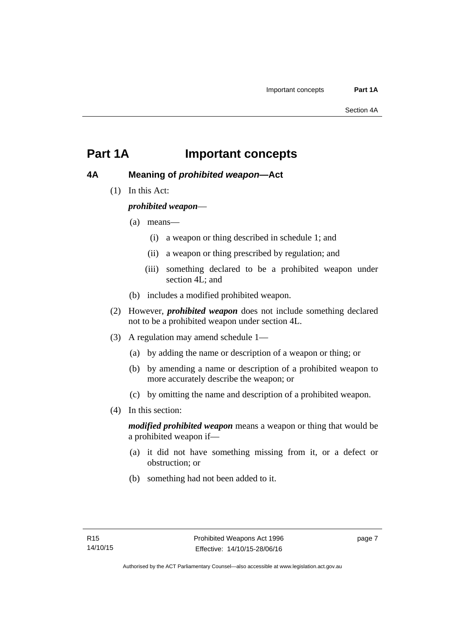# <span id="page-12-0"></span>**Part 1A Important concepts**

# <span id="page-12-1"></span>**4A Meaning of** *prohibited weapon***—Act**

(1) In this Act:

*prohibited weapon*—

- (a) means—
	- (i) a weapon or thing described in schedule 1; and
	- (ii) a weapon or thing prescribed by regulation; and
	- (iii) something declared to be a prohibited weapon under section 4L; and
- (b) includes a modified prohibited weapon.
- (2) However, *prohibited weapon* does not include something declared not to be a prohibited weapon under section 4L.
- (3) A regulation may amend schedule 1—
	- (a) by adding the name or description of a weapon or thing; or
	- (b) by amending a name or description of a prohibited weapon to more accurately describe the weapon; or
	- (c) by omitting the name and description of a prohibited weapon.
- (4) In this section:

*modified prohibited weapon* means a weapon or thing that would be a prohibited weapon if—

- (a) it did not have something missing from it, or a defect or obstruction; or
- (b) something had not been added to it.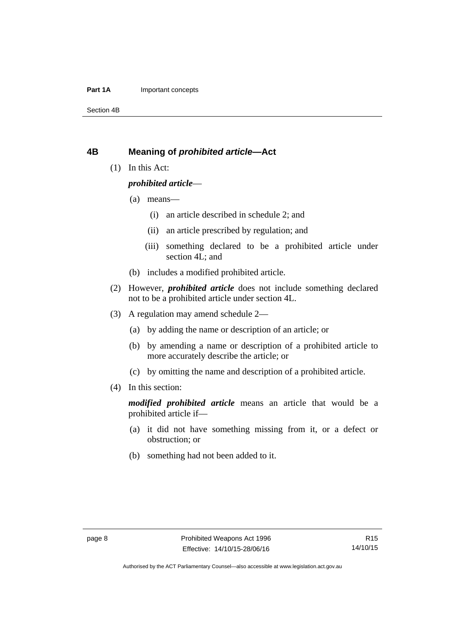### **Part 1A** Important concepts

Section 4B

### <span id="page-13-0"></span>**4B Meaning of** *prohibited article***—Act**

(1) In this Act:

### *prohibited article*—

- (a) means—
	- (i) an article described in schedule 2; and
	- (ii) an article prescribed by regulation; and
	- (iii) something declared to be a prohibited article under section 4L; and
- (b) includes a modified prohibited article.
- (2) However, *prohibited article* does not include something declared not to be a prohibited article under section 4L.
- (3) A regulation may amend schedule 2—
	- (a) by adding the name or description of an article; or
	- (b) by amending a name or description of a prohibited article to more accurately describe the article; or
	- (c) by omitting the name and description of a prohibited article.
- (4) In this section:

*modified prohibited article* means an article that would be a prohibited article if—

- (a) it did not have something missing from it, or a defect or obstruction; or
- (b) something had not been added to it.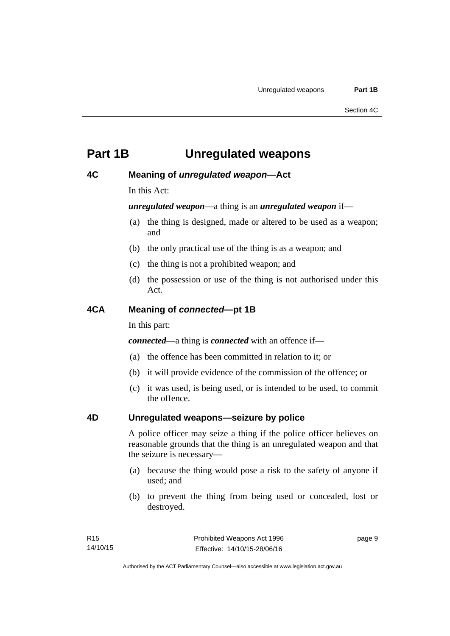# <span id="page-14-0"></span>**Part 1B Unregulated weapons**

# <span id="page-14-1"></span>**4C Meaning of** *unregulated weapon***—Act**

In this Act:

*unregulated weapon*—a thing is an *unregulated weapon* if—

- (a) the thing is designed, made or altered to be used as a weapon; and
- (b) the only practical use of the thing is as a weapon; and
- (c) the thing is not a prohibited weapon; and
- (d) the possession or use of the thing is not authorised under this Act.

# <span id="page-14-2"></span>**4CA Meaning of** *connected***—pt 1B**

In this part:

*connected*—a thing is *connected* with an offence if—

- (a) the offence has been committed in relation to it; or
- (b) it will provide evidence of the commission of the offence; or
- (c) it was used, is being used, or is intended to be used, to commit the offence.

# <span id="page-14-3"></span>**4D Unregulated weapons—seizure by police**

A police officer may seize a thing if the police officer believes on reasonable grounds that the thing is an unregulated weapon and that the seizure is necessary—

- (a) because the thing would pose a risk to the safety of anyone if used; and
- (b) to prevent the thing from being used or concealed, lost or destroyed.

page 9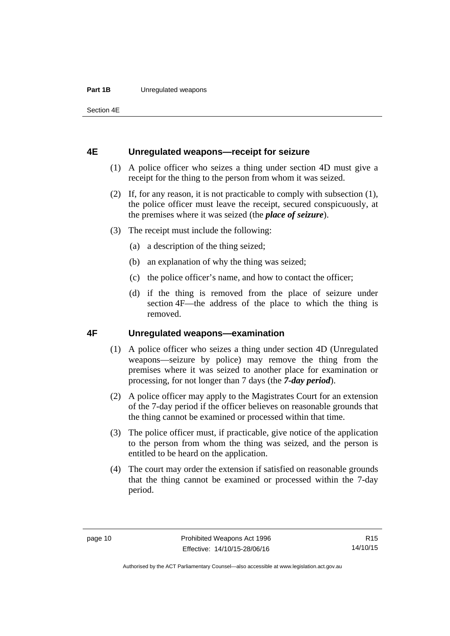### **Part 1B** Unregulated weapons

Section 4E

### <span id="page-15-0"></span>**4E Unregulated weapons—receipt for seizure**

- (1) A police officer who seizes a thing under section 4D must give a receipt for the thing to the person from whom it was seized.
- (2) If, for any reason, it is not practicable to comply with subsection (1), the police officer must leave the receipt, secured conspicuously, at the premises where it was seized (the *place of seizure*).
- (3) The receipt must include the following:
	- (a) a description of the thing seized;
	- (b) an explanation of why the thing was seized;
	- (c) the police officer's name, and how to contact the officer;
	- (d) if the thing is removed from the place of seizure under section 4F—the address of the place to which the thing is removed.

# <span id="page-15-1"></span>**4F Unregulated weapons—examination**

- (1) A police officer who seizes a thing under section 4D (Unregulated weapons—seizure by police) may remove the thing from the premises where it was seized to another place for examination or processing, for not longer than 7 days (the *7-day period*).
- (2) A police officer may apply to the Magistrates Court for an extension of the 7-day period if the officer believes on reasonable grounds that the thing cannot be examined or processed within that time.
- (3) The police officer must, if practicable, give notice of the application to the person from whom the thing was seized, and the person is entitled to be heard on the application.
- (4) The court may order the extension if satisfied on reasonable grounds that the thing cannot be examined or processed within the 7-day period.

R15 14/10/15

Authorised by the ACT Parliamentary Counsel—also accessible at www.legislation.act.gov.au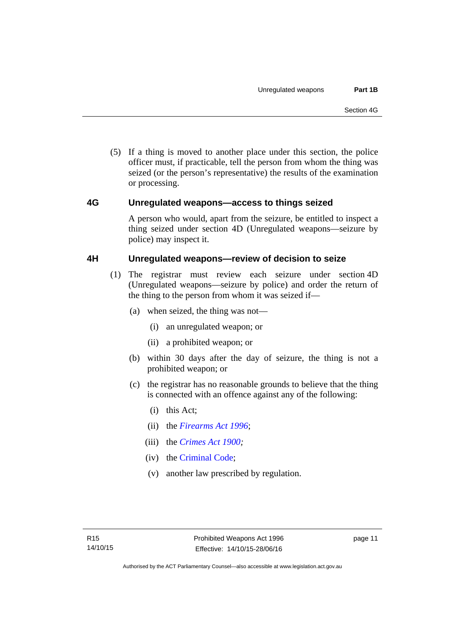(5) If a thing is moved to another place under this section, the police officer must, if practicable, tell the person from whom the thing was seized (or the person's representative) the results of the examination or processing.

# <span id="page-16-0"></span>**4G Unregulated weapons—access to things seized**

A person who would, apart from the seizure, be entitled to inspect a thing seized under section 4D (Unregulated weapons—seizure by police) may inspect it.

# <span id="page-16-1"></span>**4H Unregulated weapons—review of decision to seize**

- (1) The registrar must review each seizure under section 4D (Unregulated weapons—seizure by police) and order the return of the thing to the person from whom it was seized if—
	- (a) when seized, the thing was not—
		- (i) an unregulated weapon; or
		- (ii) a prohibited weapon; or
	- (b) within 30 days after the day of seizure, the thing is not a prohibited weapon; or
	- (c) the registrar has no reasonable grounds to believe that the thing is connected with an offence against any of the following:
		- (i) this Act;
		- (ii) the *[Firearms Act 1996](http://www.legislation.act.gov.au/a/1996-74)*;
		- (iii) the *[Crimes Act 1900](http://www.legislation.act.gov.au/a/1900-40);*
		- (iv) the [Criminal Code;](http://www.legislation.act.gov.au/a/2002-51)
		- (v) another law prescribed by regulation.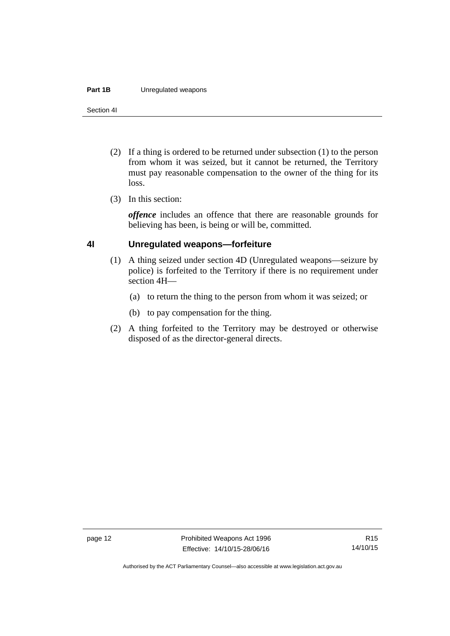#### **Part 1B** Unregulated weapons

Section 4I

- (2) If a thing is ordered to be returned under subsection (1) to the person from whom it was seized, but it cannot be returned, the Territory must pay reasonable compensation to the owner of the thing for its loss.
- (3) In this section:

*offence* includes an offence that there are reasonable grounds for believing has been, is being or will be, committed.

# <span id="page-17-0"></span>**4I Unregulated weapons—forfeiture**

- (1) A thing seized under section 4D (Unregulated weapons—seizure by police) is forfeited to the Territory if there is no requirement under section 4H—
	- (a) to return the thing to the person from whom it was seized; or
	- (b) to pay compensation for the thing.
- (2) A thing forfeited to the Territory may be destroyed or otherwise disposed of as the director-general directs.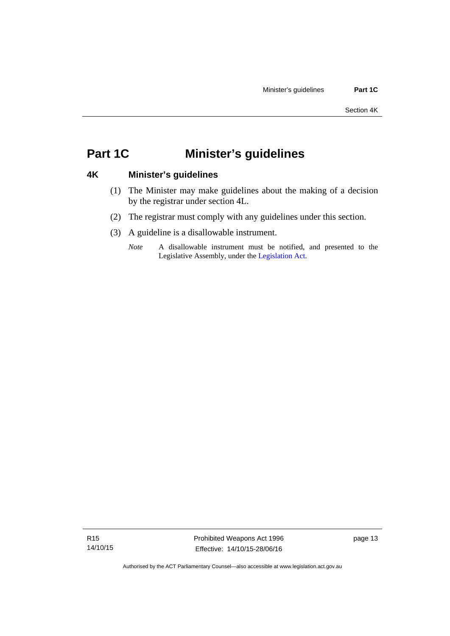# <span id="page-18-0"></span>**Part 1C Minister's guidelines**

# <span id="page-18-1"></span>**4K Minister's guidelines**

- (1) The Minister may make guidelines about the making of a decision by the registrar under section 4L.
- (2) The registrar must comply with any guidelines under this section.
- (3) A guideline is a disallowable instrument.
	- *Note* A disallowable instrument must be notified, and presented to the Legislative Assembly, under the [Legislation Act.](http://www.legislation.act.gov.au/a/2001-14)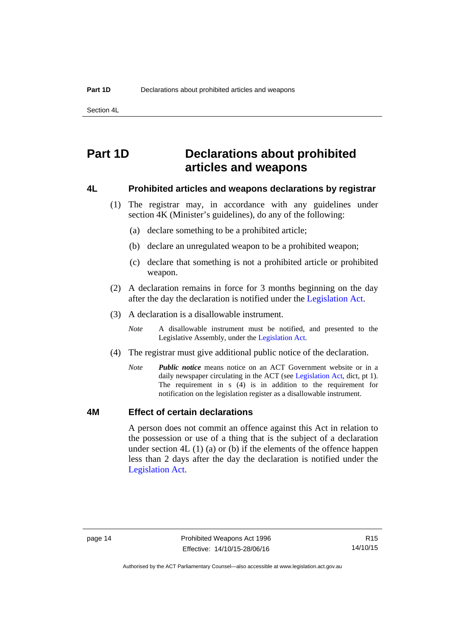Section 4L

# <span id="page-19-0"></span>**Part 1D Declarations about prohibited articles and weapons**

### <span id="page-19-1"></span>**4L Prohibited articles and weapons declarations by registrar**

- (1) The registrar may, in accordance with any guidelines under section 4K (Minister's guidelines), do any of the following:
	- (a) declare something to be a prohibited article;
	- (b) declare an unregulated weapon to be a prohibited weapon;
	- (c) declare that something is not a prohibited article or prohibited weapon.
- (2) A declaration remains in force for 3 months beginning on the day after the day the declaration is notified under the [Legislation Act.](http://www.legislation.act.gov.au/a/2001-14)
- (3) A declaration is a disallowable instrument.
	- *Note* A disallowable instrument must be notified, and presented to the Legislative Assembly, under the [Legislation Act.](http://www.legislation.act.gov.au/a/2001-14)
- (4) The registrar must give additional public notice of the declaration.
	- *Note Public notice* means notice on an ACT Government website or in a daily newspaper circulating in the ACT (see [Legislation Act](http://www.legislation.act.gov.au/a/2001-14), dict, pt 1). The requirement in s (4) is in addition to the requirement for notification on the legislation register as a disallowable instrument.

### <span id="page-19-2"></span>**4M Effect of certain declarations**

A person does not commit an offence against this Act in relation to the possession or use of a thing that is the subject of a declaration under section 4L (1) (a) or (b) if the elements of the offence happen less than 2 days after the day the declaration is notified under the [Legislation Act](http://www.legislation.act.gov.au/a/2001-14).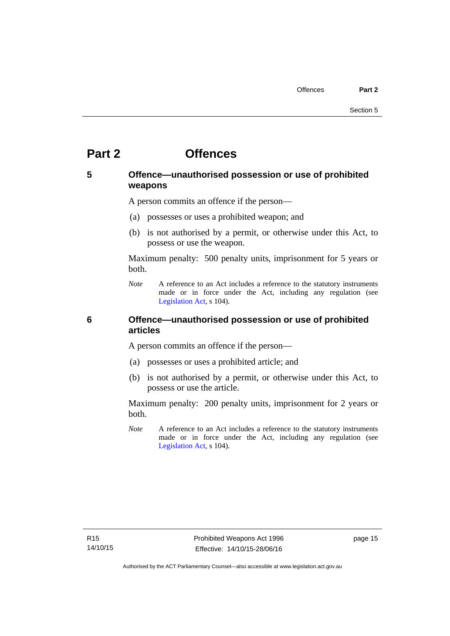# <span id="page-20-0"></span>**Part 2 Offences**

# <span id="page-20-1"></span>**5 Offence—unauthorised possession or use of prohibited weapons**

A person commits an offence if the person—

- (a) possesses or uses a prohibited weapon; and
- (b) is not authorised by a permit, or otherwise under this Act, to possess or use the weapon.

Maximum penalty: 500 penalty units, imprisonment for 5 years or both.

*Note* A reference to an Act includes a reference to the statutory instruments made or in force under the Act, including any regulation (see [Legislation Act,](http://www.legislation.act.gov.au/a/2001-14) s 104).

# <span id="page-20-2"></span>**6 Offence—unauthorised possession or use of prohibited articles**

A person commits an offence if the person—

- (a) possesses or uses a prohibited article; and
- (b) is not authorised by a permit, or otherwise under this Act, to possess or use the article.

Maximum penalty: 200 penalty units, imprisonment for 2 years or both.

*Note* A reference to an Act includes a reference to the statutory instruments made or in force under the Act, including any regulation (see [Legislation Act,](http://www.legislation.act.gov.au/a/2001-14) s 104).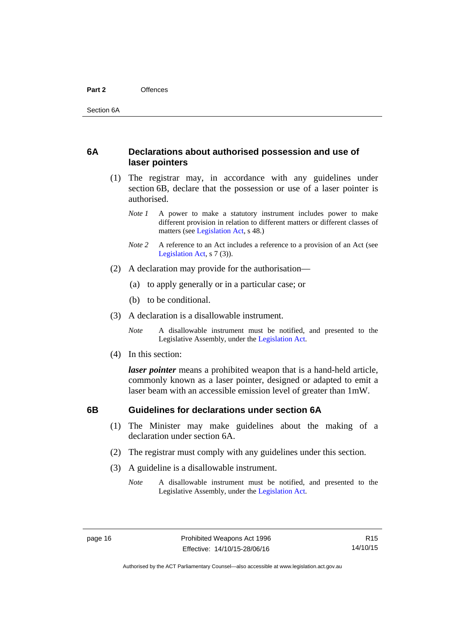# <span id="page-21-0"></span>**6A Declarations about authorised possession and use of laser pointers**

- (1) The registrar may, in accordance with any guidelines under section 6B, declare that the possession or use of a laser pointer is authorised.
	- *Note 1* A power to make a statutory instrument includes power to make different provision in relation to different matters or different classes of matters (see [Legislation Act,](http://www.legislation.act.gov.au/a/2001-14) s 48.)
	- *Note* 2 A reference to an Act includes a reference to a provision of an Act (see [Legislation Act,](http://www.legislation.act.gov.au/a/2001-14) s 7 (3)).
- (2) A declaration may provide for the authorisation—
	- (a) to apply generally or in a particular case; or
	- (b) to be conditional.
- (3) A declaration is a disallowable instrument.

*Note* A disallowable instrument must be notified, and presented to the Legislative Assembly, under the [Legislation Act.](http://www.legislation.act.gov.au/a/2001-14)

(4) In this section:

*laser pointer* means a prohibited weapon that is a hand-held article, commonly known as a laser pointer, designed or adapted to emit a laser beam with an accessible emission level of greater than 1mW.

# <span id="page-21-1"></span>**6B Guidelines for declarations under section 6A**

- (1) The Minister may make guidelines about the making of a declaration under section 6A.
- (2) The registrar must comply with any guidelines under this section.
- (3) A guideline is a disallowable instrument.
	- *Note* A disallowable instrument must be notified, and presented to the Legislative Assembly, under the [Legislation Act.](http://www.legislation.act.gov.au/a/2001-14)

R15 14/10/15

Authorised by the ACT Parliamentary Counsel—also accessible at www.legislation.act.gov.au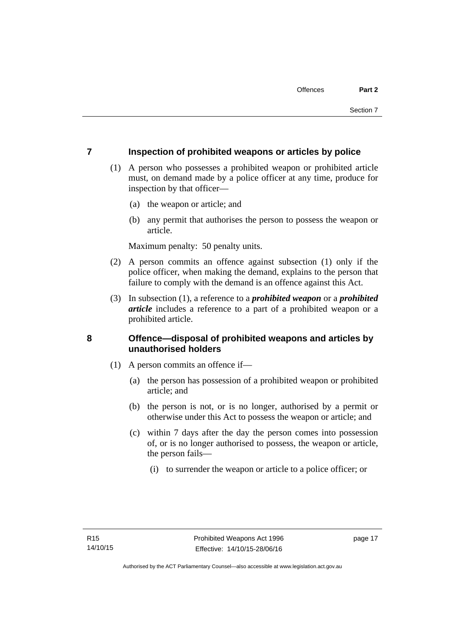# <span id="page-22-0"></span>**7 Inspection of prohibited weapons or articles by police**

- (1) A person who possesses a prohibited weapon or prohibited article must, on demand made by a police officer at any time, produce for inspection by that officer—
	- (a) the weapon or article; and
	- (b) any permit that authorises the person to possess the weapon or article.

Maximum penalty: 50 penalty units.

- (2) A person commits an offence against subsection (1) only if the police officer, when making the demand, explains to the person that failure to comply with the demand is an offence against this Act.
- (3) In subsection (1), a reference to a *prohibited weapon* or a *prohibited article* includes a reference to a part of a prohibited weapon or a prohibited article.

# <span id="page-22-1"></span>**8 Offence—disposal of prohibited weapons and articles by unauthorised holders**

- (1) A person commits an offence if—
	- (a) the person has possession of a prohibited weapon or prohibited article; and
	- (b) the person is not, or is no longer, authorised by a permit or otherwise under this Act to possess the weapon or article; and
	- (c) within 7 days after the day the person comes into possession of, or is no longer authorised to possess, the weapon or article, the person fails—
		- (i) to surrender the weapon or article to a police officer; or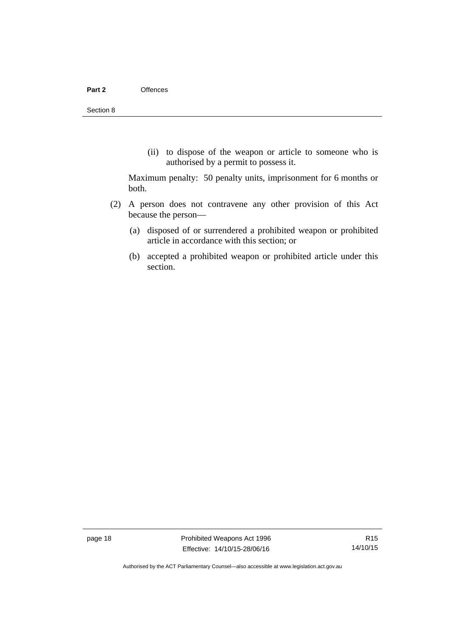(ii) to dispose of the weapon or article to someone who is authorised by a permit to possess it.

Maximum penalty: 50 penalty units, imprisonment for 6 months or both.

- (2) A person does not contravene any other provision of this Act because the person—
	- (a) disposed of or surrendered a prohibited weapon or prohibited article in accordance with this section; or
	- (b) accepted a prohibited weapon or prohibited article under this section.

page 18 **Prohibited Weapons Act 1996** Effective: 14/10/15-28/06/16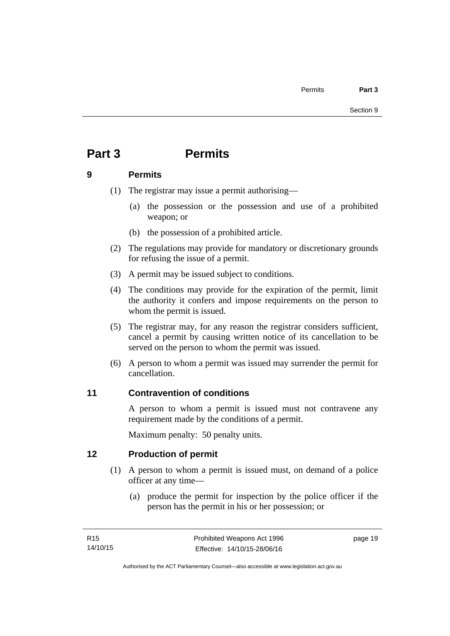# <span id="page-24-0"></span>**Part 3 Permits**

# <span id="page-24-1"></span>**9 Permits**

- (1) The registrar may issue a permit authorising—
	- (a) the possession or the possession and use of a prohibited weapon; or
	- (b) the possession of a prohibited article.
- (2) The regulations may provide for mandatory or discretionary grounds for refusing the issue of a permit.
- (3) A permit may be issued subject to conditions.
- (4) The conditions may provide for the expiration of the permit, limit the authority it confers and impose requirements on the person to whom the permit is issued.
- (5) The registrar may, for any reason the registrar considers sufficient, cancel a permit by causing written notice of its cancellation to be served on the person to whom the permit was issued.
- (6) A person to whom a permit was issued may surrender the permit for cancellation.

# <span id="page-24-2"></span>**11 Contravention of conditions**

A person to whom a permit is issued must not contravene any requirement made by the conditions of a permit.

Maximum penalty: 50 penalty units.

# <span id="page-24-3"></span>**12 Production of permit**

- (1) A person to whom a permit is issued must, on demand of a police officer at any time—
	- (a) produce the permit for inspection by the police officer if the person has the permit in his or her possession; or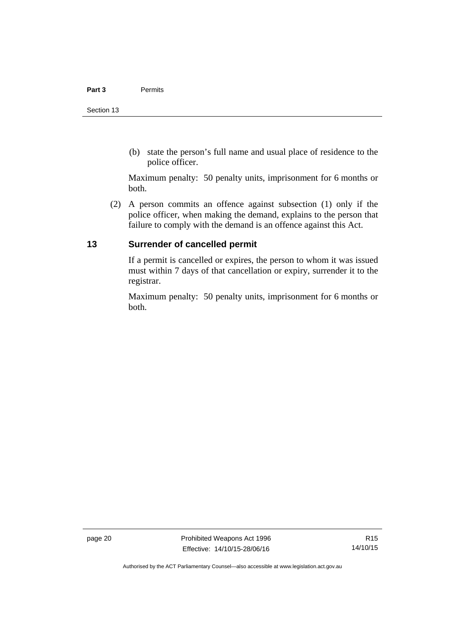(b) state the person's full name and usual place of residence to the police officer.

Maximum penalty: 50 penalty units, imprisonment for 6 months or both.

 (2) A person commits an offence against subsection (1) only if the police officer, when making the demand, explains to the person that failure to comply with the demand is an offence against this Act.

# <span id="page-25-0"></span>**13 Surrender of cancelled permit**

If a permit is cancelled or expires, the person to whom it was issued must within 7 days of that cancellation or expiry, surrender it to the registrar.

Maximum penalty: 50 penalty units, imprisonment for 6 months or both.

page 20 **Prohibited Weapons Act 1996** Effective: 14/10/15-28/06/16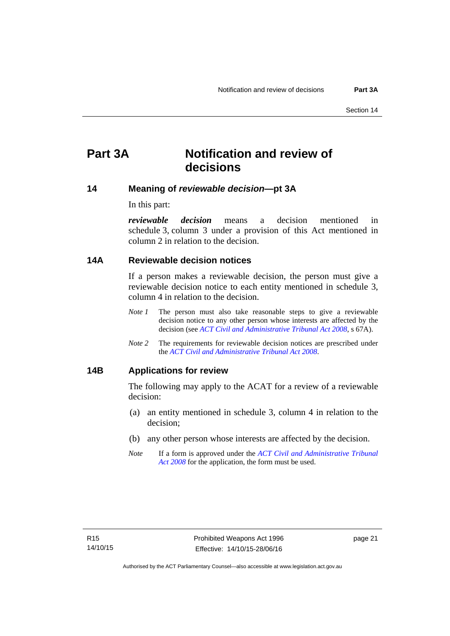# <span id="page-26-0"></span>**Part 3A Notification and review of decisions**

# <span id="page-26-1"></span>**14 Meaning of** *reviewable decision—***pt 3A**

In this part:

*reviewable decision* means a decision mentioned in schedule 3, column 3 under a provision of this Act mentioned in column 2 in relation to the decision.

### <span id="page-26-2"></span>**14A Reviewable decision notices**

If a person makes a reviewable decision, the person must give a reviewable decision notice to each entity mentioned in schedule 3, column 4 in relation to the decision.

- *Note 1* The person must also take reasonable steps to give a reviewable decision notice to any other person whose interests are affected by the decision (see *[ACT Civil and Administrative Tribunal Act 2008](http://www.legislation.act.gov.au/a/2008-35)*, s 67A).
- *Note 2* The requirements for reviewable decision notices are prescribed under the *[ACT Civil and Administrative Tribunal Act 2008](http://www.legislation.act.gov.au/a/2008-35)*.

# <span id="page-26-3"></span>**14B Applications for review**

The following may apply to the ACAT for a review of a reviewable decision:

- (a) an entity mentioned in schedule 3, column 4 in relation to the decision;
- (b) any other person whose interests are affected by the decision.
- *Note* If a form is approved under the *[ACT Civil and Administrative Tribunal](http://www.legislation.act.gov.au/a/2008-35)  [Act 2008](http://www.legislation.act.gov.au/a/2008-35)* for the application, the form must be used.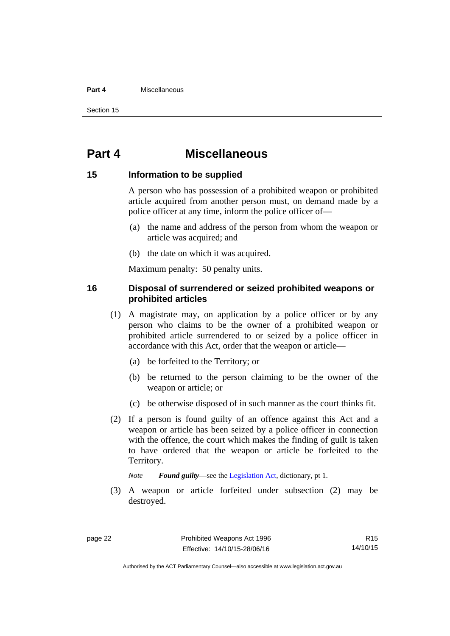#### **Part 4** Miscellaneous

Section 15

# <span id="page-27-0"></span>**Part 4 Miscellaneous**

### <span id="page-27-1"></span>**15 Information to be supplied**

A person who has possession of a prohibited weapon or prohibited article acquired from another person must, on demand made by a police officer at any time, inform the police officer of—

- (a) the name and address of the person from whom the weapon or article was acquired; and
- (b) the date on which it was acquired.

Maximum penalty: 50 penalty units.

# <span id="page-27-2"></span>**16 Disposal of surrendered or seized prohibited weapons or prohibited articles**

- (1) A magistrate may, on application by a police officer or by any person who claims to be the owner of a prohibited weapon or prohibited article surrendered to or seized by a police officer in accordance with this Act, order that the weapon or article—
	- (a) be forfeited to the Territory; or
	- (b) be returned to the person claiming to be the owner of the weapon or article; or
	- (c) be otherwise disposed of in such manner as the court thinks fit.
- (2) If a person is found guilty of an offence against this Act and a weapon or article has been seized by a police officer in connection with the offence, the court which makes the finding of guilt is taken to have ordered that the weapon or article be forfeited to the Territory.

*Note Found guilty*—see the [Legislation Act,](http://www.legislation.act.gov.au/a/2001-14) dictionary, pt 1.

 (3) A weapon or article forfeited under subsection (2) may be destroyed.

R15 14/10/15

Authorised by the ACT Parliamentary Counsel—also accessible at www.legislation.act.gov.au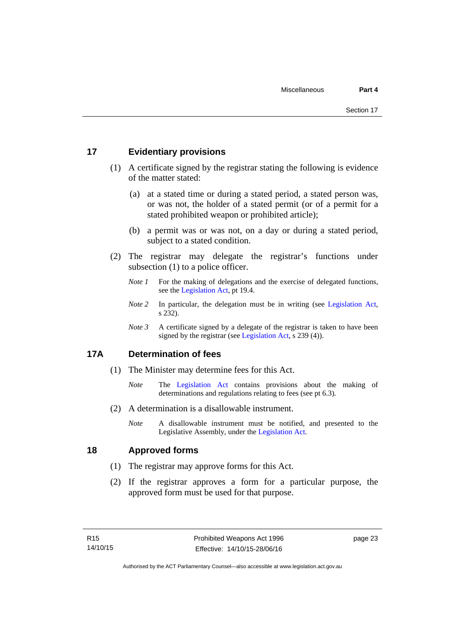# <span id="page-28-0"></span>**17 Evidentiary provisions**

- (1) A certificate signed by the registrar stating the following is evidence of the matter stated:
	- (a) at a stated time or during a stated period, a stated person was, or was not, the holder of a stated permit (or of a permit for a stated prohibited weapon or prohibited article);
	- (b) a permit was or was not, on a day or during a stated period, subject to a stated condition.
- (2) The registrar may delegate the registrar's functions under subsection (1) to a police officer.
	- *Note 1* For the making of delegations and the exercise of delegated functions, see the [Legislation Act,](http://www.legislation.act.gov.au/a/2001-14) pt 19.4.
	- *Note 2* In particular, the delegation must be in writing (see [Legislation Act,](http://www.legislation.act.gov.au/a/2001-14) s 232).
	- *Note 3* A certificate signed by a delegate of the registrar is taken to have been signed by the registrar (see [Legislation Act](http://www.legislation.act.gov.au/a/2001-14), s 239 (4)).

# <span id="page-28-1"></span>**17A Determination of fees**

- (1) The Minister may determine fees for this Act.
	- *Note* The [Legislation Act](http://www.legislation.act.gov.au/a/2001-14) contains provisions about the making of determinations and regulations relating to fees (see pt 6.3).
- (2) A determination is a disallowable instrument.
	- *Note* A disallowable instrument must be notified, and presented to the Legislative Assembly, under the [Legislation Act.](http://www.legislation.act.gov.au/a/2001-14)

# <span id="page-28-2"></span>**18 Approved forms**

- (1) The registrar may approve forms for this Act.
- (2) If the registrar approves a form for a particular purpose, the approved form must be used for that purpose.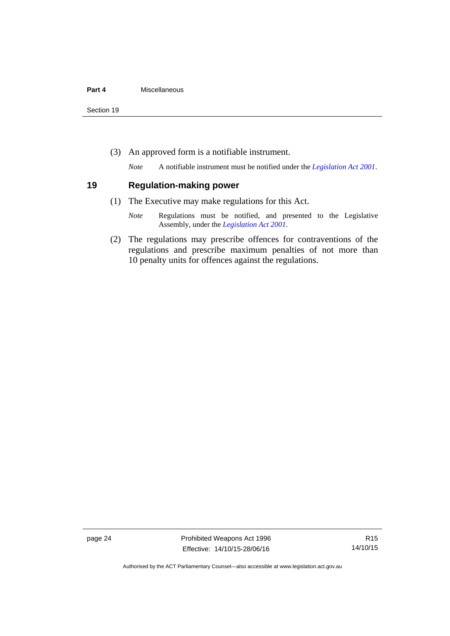Section 19

(3) An approved form is a notifiable instrument.

*Note* A notifiable instrument must be notified under the *[Legislation Act 2001](http://www.legislation.act.gov.au/a/2001-14)*.

### <span id="page-29-0"></span>**19 Regulation-making power**

- (1) The Executive may make regulations for this Act.
	- *Note* Regulations must be notified, and presented to the Legislative Assembly, under the *[Legislation Act 2001](http://www.legislation.act.gov.au/a/2001-14)*.
- (2) The regulations may prescribe offences for contraventions of the regulations and prescribe maximum penalties of not more than 10 penalty units for offences against the regulations.

page 24 **Prohibited Weapons Act 1996** Effective: 14/10/15-28/06/16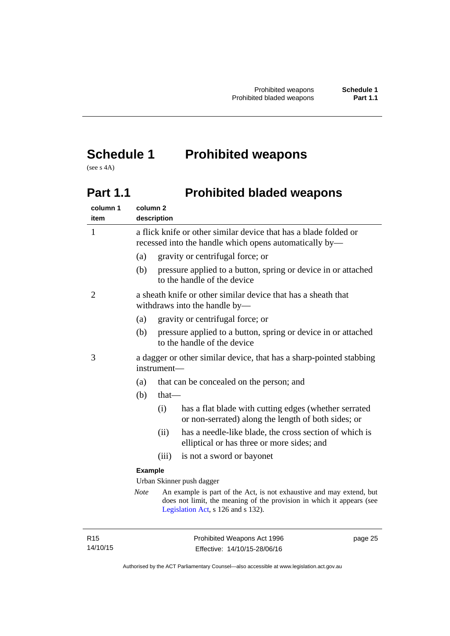# <span id="page-30-0"></span>**Schedule 1 Prohibited weapons**

(see s 4A)

# <span id="page-30-1"></span>Part 1.1 **Prohibited bladed weapons**

| column 1<br>item          | column <sub>2</sub> | description                                                                                                                |                                                                                                                                                                                     |
|---------------------------|---------------------|----------------------------------------------------------------------------------------------------------------------------|-------------------------------------------------------------------------------------------------------------------------------------------------------------------------------------|
| $\mathbf{1}$              |                     | a flick knife or other similar device that has a blade folded or<br>recessed into the handle which opens automatically by- |                                                                                                                                                                                     |
|                           | (a)                 |                                                                                                                            | gravity or centrifugal force; or                                                                                                                                                    |
|                           | (b)                 |                                                                                                                            | pressure applied to a button, spring or device in or attached<br>to the handle of the device                                                                                        |
| 2                         |                     |                                                                                                                            | a sheath knife or other similar device that has a sheath that<br>withdraws into the handle by-                                                                                      |
|                           | (a)                 |                                                                                                                            | gravity or centrifugal force; or                                                                                                                                                    |
|                           | (b)                 |                                                                                                                            | pressure applied to a button, spring or device in or attached<br>to the handle of the device                                                                                        |
| 3                         |                     | a dagger or other similar device, that has a sharp-pointed stabbing<br>instrument-                                         |                                                                                                                                                                                     |
|                           | (a)                 |                                                                                                                            | that can be concealed on the person; and                                                                                                                                            |
|                           | (b)                 | $that$ —                                                                                                                   |                                                                                                                                                                                     |
|                           |                     | (i)                                                                                                                        | has a flat blade with cutting edges (whether serrated<br>or non-serrated) along the length of both sides; or                                                                        |
|                           |                     | (ii)                                                                                                                       | has a needle-like blade, the cross section of which is<br>elliptical or has three or more sides; and                                                                                |
|                           |                     | (iii)                                                                                                                      | is not a sword or bayonet                                                                                                                                                           |
|                           | <b>Example</b>      |                                                                                                                            |                                                                                                                                                                                     |
| Urban Skinner push dagger |                     |                                                                                                                            |                                                                                                                                                                                     |
|                           | Note                |                                                                                                                            | An example is part of the Act, is not exhaustive and may extend, but<br>does not limit, the meaning of the provision in which it appears (see<br>Legislation Act, s 126 and s 132). |
|                           |                     |                                                                                                                            |                                                                                                                                                                                     |

R15 14/10/15 page 25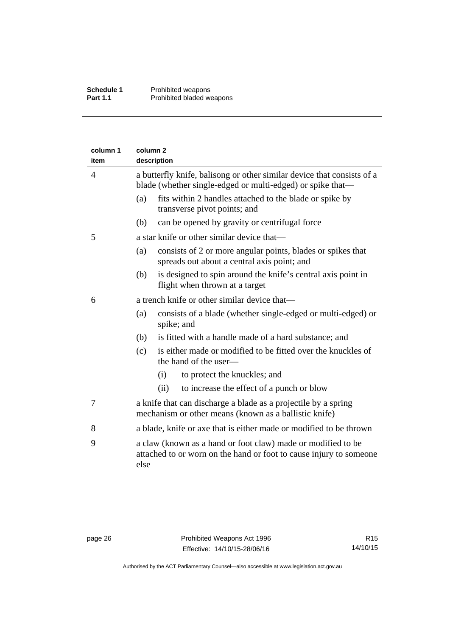| column 1<br>item | column <sub>2</sub><br>description |                                                                                                                                      |
|------------------|------------------------------------|--------------------------------------------------------------------------------------------------------------------------------------|
| $\overline{4}$   |                                    | a butterfly knife, balisong or other similar device that consists of a<br>blade (whether single-edged or multi-edged) or spike that- |
|                  | (a)                                | fits within 2 handles attached to the blade or spike by<br>transverse pivot points; and                                              |
|                  | (b)                                | can be opened by gravity or centrifugal force                                                                                        |
| 5                |                                    | a star knife or other similar device that—                                                                                           |
|                  | (a)                                | consists of 2 or more angular points, blades or spikes that<br>spreads out about a central axis point; and                           |
|                  | (b)                                | is designed to spin around the knife's central axis point in<br>flight when thrown at a target                                       |
| 6                |                                    | a trench knife or other similar device that—                                                                                         |
|                  | (a)                                | consists of a blade (whether single-edged or multi-edged) or<br>spike; and                                                           |
|                  | (b)                                | is fitted with a handle made of a hard substance; and                                                                                |
|                  | (c)                                | is either made or modified to be fitted over the knuckles of<br>the hand of the user-                                                |
|                  |                                    | to protect the knuckles; and<br>(i)                                                                                                  |
|                  |                                    | (ii)<br>to increase the effect of a punch or blow                                                                                    |
| 7                |                                    | a knife that can discharge a blade as a projectile by a spring<br>mechanism or other means (known as a ballistic knife)              |
| 8                |                                    | a blade, knife or axe that is either made or modified to be thrown                                                                   |
| 9                | else                               | a claw (known as a hand or foot claw) made or modified to be<br>attached to or worn on the hand or foot to cause injury to someone   |
|                  |                                    |                                                                                                                                      |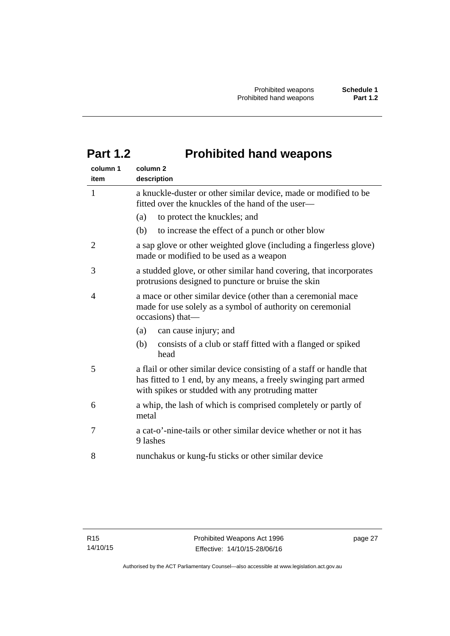# <span id="page-32-0"></span>**Part 1.2 Prohibited hand weapons**

| column 1<br>item | column <sub>2</sub><br>description                                                                                                                                                           |
|------------------|----------------------------------------------------------------------------------------------------------------------------------------------------------------------------------------------|
| $\mathbf{1}$     | a knuckle-duster or other similar device, made or modified to be<br>fitted over the knuckles of the hand of the user—                                                                        |
|                  | (a)<br>to protect the knuckles; and                                                                                                                                                          |
|                  | (b)<br>to increase the effect of a punch or other blow                                                                                                                                       |
| 2                | a sap glove or other weighted glove (including a fingerless glove)<br>made or modified to be used as a weapon                                                                                |
| 3                | a studded glove, or other similar hand covering, that incorporates<br>protrusions designed to puncture or bruise the skin                                                                    |
| 4                | a mace or other similar device (other than a ceremonial mace<br>made for use solely as a symbol of authority on ceremonial<br>occasions) that-                                               |
|                  | can cause injury; and<br>(a)                                                                                                                                                                 |
|                  | (b)<br>consists of a club or staff fitted with a flanged or spiked<br>head                                                                                                                   |
| 5                | a flail or other similar device consisting of a staff or handle that<br>has fitted to 1 end, by any means, a freely swinging part armed<br>with spikes or studded with any protruding matter |
| 6                | a whip, the lash of which is comprised completely or partly of<br>metal                                                                                                                      |
| 7                | a cat-o'-nine-tails or other similar device whether or not it has<br>9 lashes                                                                                                                |
| 8                | nunchakus or kung-fu sticks or other similar device                                                                                                                                          |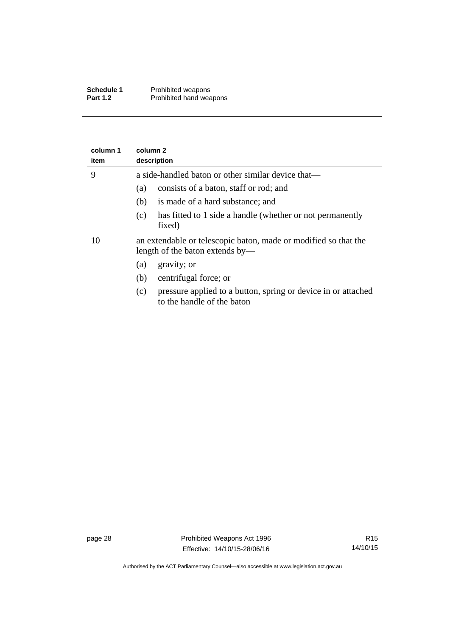| Schedule 1      | Prohibited weapons      |
|-----------------|-------------------------|
| <b>Part 1.2</b> | Prohibited hand weapons |

| column 1<br>item | column <sub>2</sub><br>description                                                                 |  |  |  |
|------------------|----------------------------------------------------------------------------------------------------|--|--|--|
| 9                | a side-handled baton or other similar device that—                                                 |  |  |  |
|                  | consists of a baton, staff or rod; and<br>(a)                                                      |  |  |  |
|                  | is made of a hard substance; and<br>(b)                                                            |  |  |  |
|                  | has fitted to 1 side a handle (whether or not permanently<br>(c)<br>fixed)                         |  |  |  |
| 10               | an extendable or telescopic baton, made or modified so that the<br>length of the baton extends by— |  |  |  |
|                  | gravity; or<br>(a)                                                                                 |  |  |  |
|                  | centrifugal force; or<br>(b)                                                                       |  |  |  |
|                  | pressure applied to a button, spring or device in or attached<br>(c)<br>to the handle of the baton |  |  |  |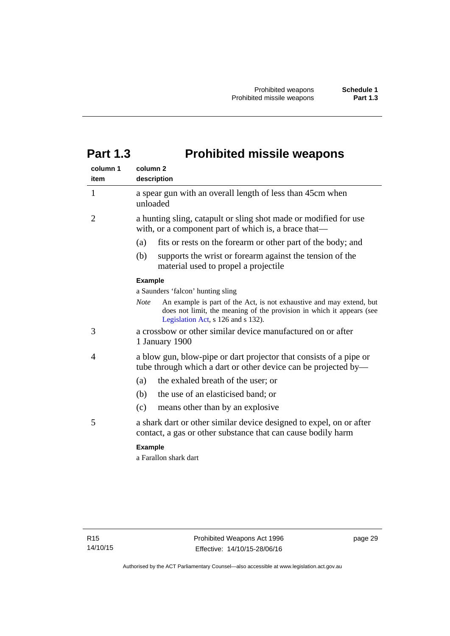# <span id="page-34-0"></span>**Part 1.3 Prohibited missile weapons**

| column 1<br>item | column <sub>2</sub><br>description                                                                                                                                                                 |
|------------------|----------------------------------------------------------------------------------------------------------------------------------------------------------------------------------------------------|
| 1                | a spear gun with an overall length of less than 45cm when<br>unloaded                                                                                                                              |
| 2                | a hunting sling, catapult or sling shot made or modified for use<br>with, or a component part of which is, a brace that—                                                                           |
|                  | fits or rests on the forearm or other part of the body; and<br>(a)                                                                                                                                 |
|                  | (b)<br>supports the wrist or forearm against the tension of the<br>material used to propel a projectile                                                                                            |
|                  | <b>Example</b>                                                                                                                                                                                     |
|                  | a Saunders 'falcon' hunting sling                                                                                                                                                                  |
|                  | An example is part of the Act, is not exhaustive and may extend, but<br><b>Note</b><br>does not limit, the meaning of the provision in which it appears (see<br>Legislation Act, s 126 and s 132). |
| 3                | a crossbow or other similar device manufactured on or after<br>1 January 1900                                                                                                                      |
| 4                | a blow gun, blow-pipe or dart projector that consists of a pipe or<br>tube through which a dart or other device can be projected by—                                                               |
|                  | the exhaled breath of the user; or<br>(a)                                                                                                                                                          |
|                  | the use of an elasticised band; or<br>(b)                                                                                                                                                          |
|                  | (c)<br>means other than by an explosive                                                                                                                                                            |
| 5                | a shark dart or other similar device designed to expel, on or after<br>contact, a gas or other substance that can cause bodily harm                                                                |
|                  | <b>Example</b>                                                                                                                                                                                     |
|                  | a Farallon shark dart                                                                                                                                                                              |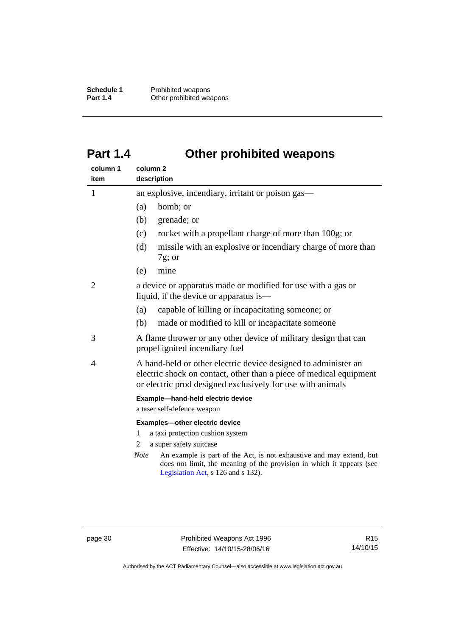**Schedule 1** Prohibited weapons<br> **Part 1.4** Other prohibited wea **Other prohibited weapons** 

# <span id="page-35-0"></span>**Part 1.4 Other prohibited weapons**

| column 1<br>item | column <sub>2</sub><br>description                                                                                                                                                                 |  |
|------------------|----------------------------------------------------------------------------------------------------------------------------------------------------------------------------------------------------|--|
| 1                | an explosive, incendiary, irritant or poison gas—                                                                                                                                                  |  |
|                  | bomb; or<br>(a)                                                                                                                                                                                    |  |
|                  | grenade; or<br>(b)                                                                                                                                                                                 |  |
|                  | (c)<br>rocket with a propellant charge of more than 100g; or                                                                                                                                       |  |
|                  | (d)<br>missile with an explosive or incendiary charge of more than<br>$7g$ ; or                                                                                                                    |  |
|                  | mine<br>(e)                                                                                                                                                                                        |  |
| 2                | a device or apparatus made or modified for use with a gas or<br>liquid, if the device or apparatus is—                                                                                             |  |
|                  | capable of killing or incapacitating someone; or<br>(a)                                                                                                                                            |  |
|                  | (b)<br>made or modified to kill or incapacitate someone                                                                                                                                            |  |
| 3                | A flame thrower or any other device of military design that can<br>propel ignited incendiary fuel                                                                                                  |  |
| 4                | A hand-held or other electric device designed to administer an<br>electric shock on contact, other than a piece of medical equipment<br>or electric prod designed exclusively for use with animals |  |
|                  | Example-hand-held electric device                                                                                                                                                                  |  |
|                  | a taser self-defence weapon                                                                                                                                                                        |  |
|                  | Examples-other electric device                                                                                                                                                                     |  |
|                  | a taxi protection cushion system<br>1<br>a super safety suitcase<br>2                                                                                                                              |  |
|                  | An example is part of the Act, is not exhaustive and may extend, but<br><b>Note</b><br>does not limit, the meaning of the provision in which it appears (see<br>Legislation Act, s 126 and s 132). |  |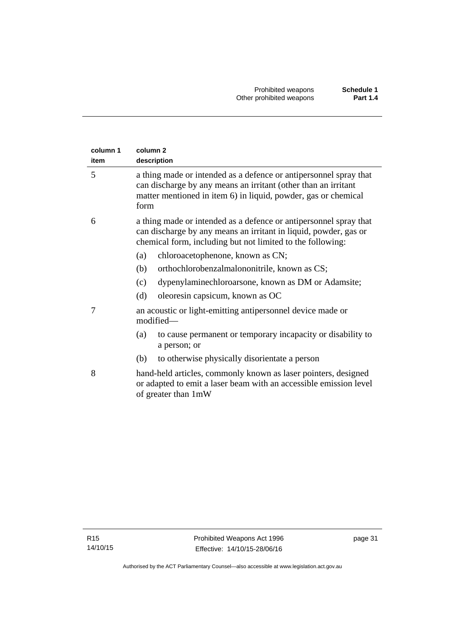| column 1<br>item | column <sub>2</sub><br>description                                                                                                                                                                            |
|------------------|---------------------------------------------------------------------------------------------------------------------------------------------------------------------------------------------------------------|
| 5                | a thing made or intended as a defence or antipersonnel spray that<br>can discharge by any means an irritant (other than an irritant<br>matter mentioned in item 6) in liquid, powder, gas or chemical<br>form |
| 6                | a thing made or intended as a defence or antipersonnel spray that<br>can discharge by any means an irritant in liquid, powder, gas or<br>chemical form, including but not limited to the following:           |
|                  | chloroacetophenone, known as CN;<br>(a)                                                                                                                                                                       |
|                  | (b)<br>orthochlorobenzalmalononitrile, known as CS;                                                                                                                                                           |
|                  | dypenylaminechloroarsone, known as DM or Adamsite;<br>(c)                                                                                                                                                     |
|                  | (d)<br>oleoresin capsicum, known as OC                                                                                                                                                                        |
| 7                | an acoustic or light-emitting antipersonnel device made or<br>modified-                                                                                                                                       |
|                  | (a)<br>to cause permanent or temporary incapacity or disability to<br>a person; or                                                                                                                            |
|                  | to otherwise physically disorientate a person<br>(b)                                                                                                                                                          |
| 8                | hand-held articles, commonly known as laser pointers, designed<br>or adapted to emit a laser beam with an accessible emission level<br>of greater than 1mW                                                    |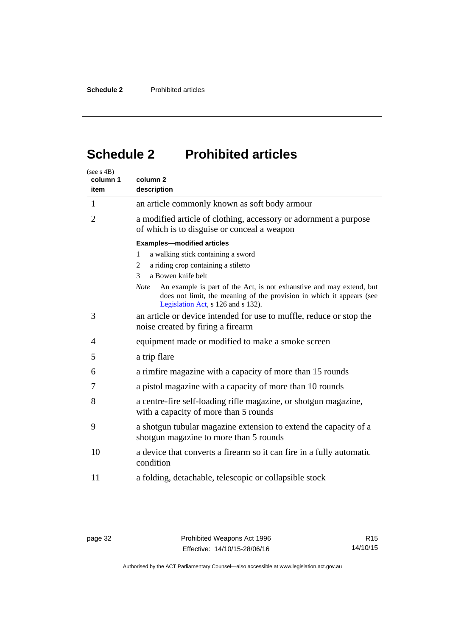# <span id="page-37-0"></span>**Schedule 2 Prohibited articles**

| (see s 4B)<br>column 1<br>item | column <sub>2</sub><br>description                                                                                                                                                                 |
|--------------------------------|----------------------------------------------------------------------------------------------------------------------------------------------------------------------------------------------------|
| 1                              | an article commonly known as soft body armour                                                                                                                                                      |
| $\overline{2}$                 | a modified article of clothing, accessory or adornment a purpose<br>of which is to disguise or conceal a weapon                                                                                    |
|                                | <b>Examples-modified articles</b>                                                                                                                                                                  |
|                                | a walking stick containing a sword<br>1                                                                                                                                                            |
|                                | a riding crop containing a stiletto<br>2                                                                                                                                                           |
|                                | a Bowen knife belt<br>3                                                                                                                                                                            |
|                                | An example is part of the Act, is not exhaustive and may extend, but<br><b>Note</b><br>does not limit, the meaning of the provision in which it appears (see<br>Legislation Act, s 126 and s 132). |
| 3                              | an article or device intended for use to muffle, reduce or stop the<br>noise created by firing a firearm                                                                                           |
| 4                              | equipment made or modified to make a smoke screen                                                                                                                                                  |
| 5                              | a trip flare                                                                                                                                                                                       |
| 6                              | a rimfire magazine with a capacity of more than 15 rounds                                                                                                                                          |
| 7                              | a pistol magazine with a capacity of more than 10 rounds                                                                                                                                           |
| 8                              | a centre-fire self-loading rifle magazine, or shotgun magazine,<br>with a capacity of more than 5 rounds                                                                                           |
| 9                              | a shotgun tubular magazine extension to extend the capacity of a<br>shotgun magazine to more than 5 rounds                                                                                         |
| 10                             | a device that converts a firearm so it can fire in a fully automatic<br>condition                                                                                                                  |
| 11                             | a folding, detachable, telescopic or collapsible stock                                                                                                                                             |

Authorised by the ACT Parliamentary Counsel—also accessible at www.legislation.act.gov.au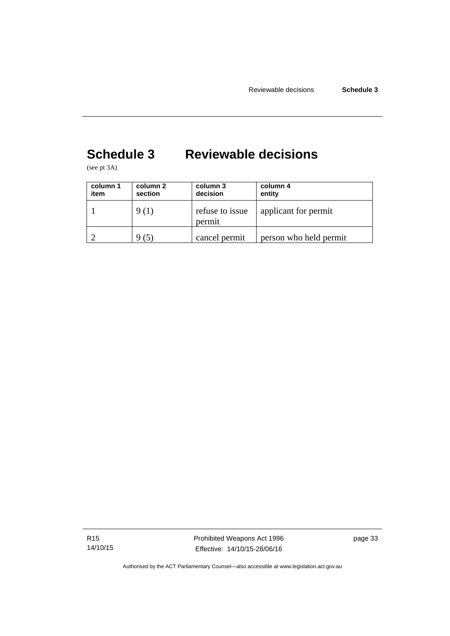# <span id="page-38-0"></span>**Schedule 3 Reviewable decisions**

(see pt 3A)

| column 1<br>item | column 2<br>section | column 3<br>decision      | column 4<br>entity     |
|------------------|---------------------|---------------------------|------------------------|
|                  | 9 (1)               | refuse to issue<br>permit | applicant for permit   |
|                  | (5)                 | cancel permit             | person who held permit |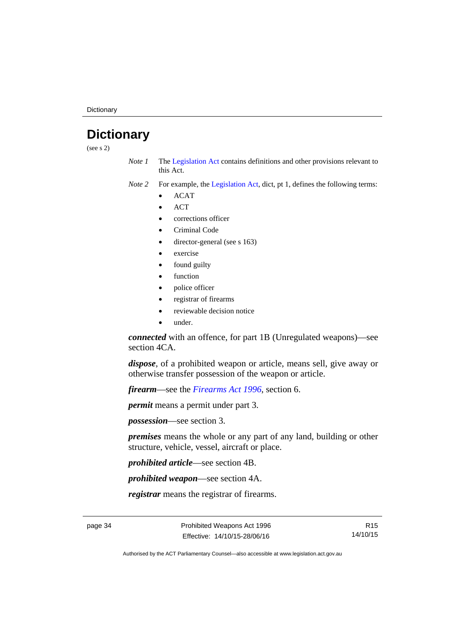**Dictionary** 

# <span id="page-39-0"></span>**Dictionary**

(see s 2)

- *Note 1* The [Legislation Act](http://www.legislation.act.gov.au/a/2001-14) contains definitions and other provisions relevant to this Act.
- *Note 2* For example, the [Legislation Act,](http://www.legislation.act.gov.au/a/2001-14) dict, pt 1, defines the following terms:
	- ACAT
	- **ACT**
	- corrections officer
	- Criminal Code
	- director-general (see s 163)
	- exercise
	- found guilty
	- function
	- police officer
	- registrar of firearms
	- reviewable decision notice
	- under.

*connected* with an offence, for part 1B (Unregulated weapons)—see section 4CA.

*dispose*, of a prohibited weapon or article, means sell, give away or otherwise transfer possession of the weapon or article.

*firearm*—see the *[Firearms Act 1996](http://www.legislation.act.gov.au/a/1996-74)*, section 6.

*permit* means a permit under part 3.

*possession*—see section 3.

*premises* means the whole or any part of any land, building or other structure, vehicle, vessel, aircraft or place.

*prohibited article*—see section 4B.

*prohibited weapon*—see section 4A.

*registrar* means the registrar of firearms.

page 34 **Prohibited Weapons Act 1996** Effective: 14/10/15-28/06/16

R15 14/10/15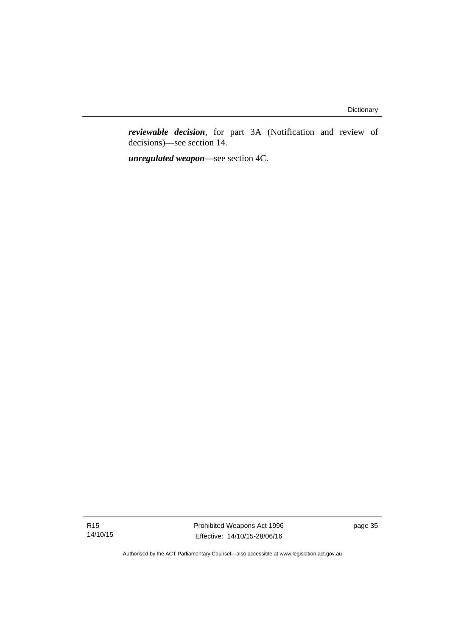*reviewable decision*, for part 3A (Notification and review of decisions)—see section 14.

*unregulated weapon*—see section 4C.

R15 14/10/15 Prohibited Weapons Act 1996 Effective: 14/10/15-28/06/16

page 35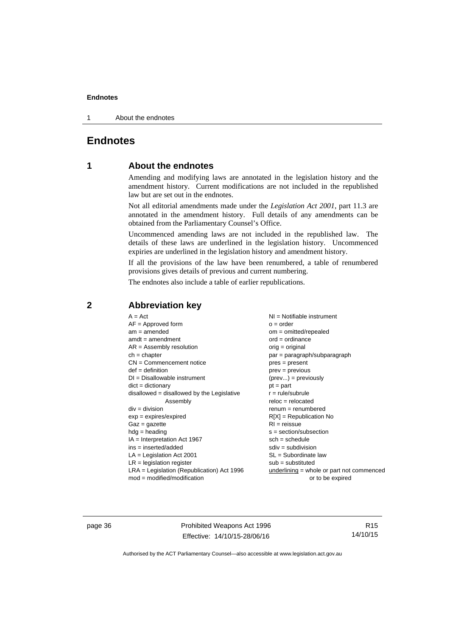1 About the endnotes

# <span id="page-41-0"></span>**Endnotes**

# **1 About the endnotes**

Amending and modifying laws are annotated in the legislation history and the amendment history. Current modifications are not included in the republished law but are set out in the endnotes.

Not all editorial amendments made under the *Legislation Act 2001*, part 11.3 are annotated in the amendment history. Full details of any amendments can be obtained from the Parliamentary Counsel's Office.

Uncommenced amending laws are not included in the republished law. The details of these laws are underlined in the legislation history. Uncommenced expiries are underlined in the legislation history and amendment history.

If all the provisions of the law have been renumbered, a table of renumbered provisions gives details of previous and current numbering.

The endnotes also include a table of earlier republications.

### <span id="page-41-2"></span>**2 Abbreviation key**

page 36 **Prohibited Weapons Act 1996** Effective: 14/10/15-28/06/16

R15 14/10/15

<span id="page-41-1"></span>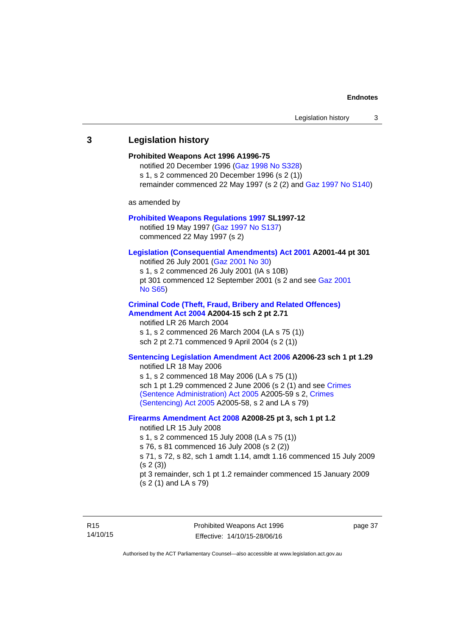# <span id="page-42-0"></span>**3 Legislation history Prohibited Weapons Act 1996 A1996-75**  notified 20 December 1996 [\(Gaz 1998 No S328](http://www.legislation.act.gov.au/gaz/1998-S328/default.asp)) s 1, s 2 commenced 20 December 1996 (s 2 (1)) remainder commenced 22 May 1997 (s 2 (2) and [Gaz 1997 No S140\)](http://www.legislation.act.gov.au/gaz/1997-S140/default.asp) as amended by **[Prohibited Weapons Regulations 1997](http://www.legislation.act.gov.au/sl/1997-12/default.asp) SL1997-12**  notified 19 May 1997 ([Gaz 1997 No S137](http://www.legislation.act.gov.au/gaz/1997-S137/default.asp)) commenced 22 May 1997 (s 2) **[Legislation \(Consequential Amendments\) Act 2001](http://www.legislation.act.gov.au/a/2001-44) A2001-44 pt 301**  notified 26 July 2001 ([Gaz 2001 No 30\)](http://www.legislation.act.gov.au/gaz/2001-30/default.asp) s 1, s 2 commenced 26 July 2001 (IA s 10B) pt 301 commenced 12 September 2001 (s 2 and see [Gaz 2001](http://www.legislation.act.gov.au/gaz/2001-S65/default.asp)  [No S65](http://www.legislation.act.gov.au/gaz/2001-S65/default.asp)) **[Criminal Code \(Theft, Fraud, Bribery and Related Offences\)](http://www.legislation.act.gov.au/a/2004-15/default.asp)  [Amendment Act 2004](http://www.legislation.act.gov.au/a/2004-15/default.asp) A2004-15 sch 2 pt 2.71**  notified LR 26 March 2004 s 1, s 2 commenced 26 March 2004 (LA s 75 (1)) sch 2 pt 2.71 commenced 9 April 2004 (s 2 (1)) **[Sentencing Legislation Amendment Act 2006](http://www.legislation.act.gov.au/a/2006-23) A2006-23 sch 1 pt 1.29**  notified LR 18 May 2006 s 1, s 2 commenced 18 May 2006 (LA s 75 (1)) sch 1 pt 1.29 commenced 2 June 2006 (s 2 (1) and see Crimes [\(Sentence Administration\) Act 2005](http://www.legislation.act.gov.au/a/2005-59) A2005-59 s 2, [Crimes](http://www.legislation.act.gov.au/a/2005-58)  [\(Sentencing\) Act 2005](http://www.legislation.act.gov.au/a/2005-58) A2005-58, s 2 and LA s 79) **[Firearms Amendment Act 2008](http://www.legislation.act.gov.au/a/2008-25) A2008-25 pt 3, sch 1 pt 1.2**  notified LR 15 July 2008 s 1, s 2 commenced 15 July 2008 (LA s 75 (1)) s 76, s 81 commenced 16 July 2008 (s 2 (2)) s 71, s 72, s 82, sch 1 amdt 1.14, amdt 1.16 commenced 15 July 2009 (s 2 (3)) pt 3 remainder, sch 1 pt 1.2 remainder commenced 15 January 2009 (s 2 (1) and LA s 79)

page 37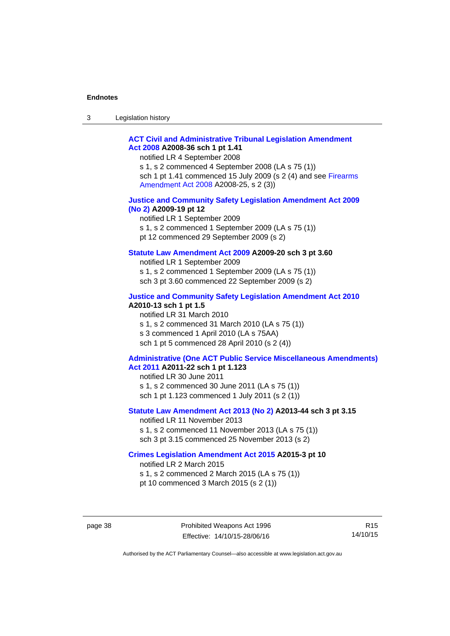| $\sqrt{2}$<br>- 3 | Legislation history |  |
|-------------------|---------------------|--|
|-------------------|---------------------|--|

### **[ACT Civil and Administrative Tribunal Legislation Amendment](http://www.legislation.act.gov.au/a/2008-36)  [Act 2008](http://www.legislation.act.gov.au/a/2008-36) A2008-36 sch 1 pt 1.41**

notified LR 4 September 2008

s 1, s 2 commenced 4 September 2008 (LA s 75 (1)) sch 1 pt 1.41 commenced 15 July 2009 (s 2 (4) and see [Firearms](http://www.legislation.act.gov.au/a/2008-25)  [Amendment Act 2008](http://www.legislation.act.gov.au/a/2008-25) A2008-25, s 2 (3))

#### **[Justice and Community Safety Legislation Amendment Act 2009](http://www.legislation.act.gov.au/a/2009-19)  [\(No 2\)](http://www.legislation.act.gov.au/a/2009-19) A2009-19 pt 12**

notified LR 1 September 2009 s 1, s 2 commenced 1 September 2009 (LA s 75 (1)) pt 12 commenced 29 September 2009 (s 2)

### **[Statute Law Amendment Act 2009](http://www.legislation.act.gov.au/a/2009-20) A2009-20 sch 3 pt 3.60**

notified LR 1 September 2009 s 1, s 2 commenced 1 September 2009 (LA s 75 (1)) sch 3 pt 3.60 commenced 22 September 2009 (s 2)

### **[Justice and Community Safety Legislation Amendment Act 2010](http://www.legislation.act.gov.au/a/2010-13)**

**A2010-13 sch 1 pt 1.5**  notified LR 31 March 2010 s 1, s 2 commenced 31 March 2010 (LA s 75 (1)) s 3 commenced 1 April 2010 (LA s 75AA) sch 1 pt 5 commenced 28 April 2010 (s 2 (4))

### **[Administrative \(One ACT Public Service Miscellaneous Amendments\)](http://www.legislation.act.gov.au/a/2011-22)  [Act 2011](http://www.legislation.act.gov.au/a/2011-22) A2011-22 sch 1 pt 1.123**

notified LR 30 June 2011 s 1, s 2 commenced 30 June 2011 (LA s 75 (1)) sch 1 pt 1.123 commenced 1 July 2011 (s 2 (1))

### **[Statute Law Amendment Act 2013 \(No 2\)](http://www.legislation.act.gov.au/a/2013-44) A2013-44 sch 3 pt 3.15**

notified LR 11 November 2013 s 1, s 2 commenced 11 November 2013 (LA s 75 (1)) sch 3 pt 3.15 commenced 25 November 2013 (s 2)

### **[Crimes Legislation Amendment Act 2015](http://www.legislation.act.gov.au/a/2015-3/default.asp) A2015-3 pt 10**

notified LR 2 March 2015

s 1, s 2 commenced 2 March 2015 (LA s 75 (1))

pt 10 commenced 3 March 2015 (s 2 (1))

R15 14/10/15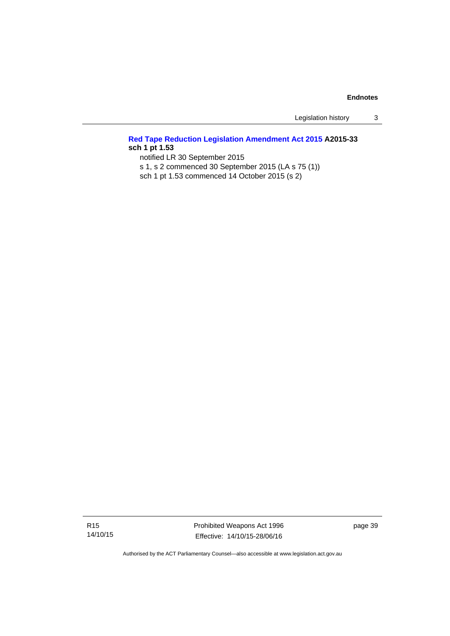Legislation history 3

# **[Red Tape Reduction Legislation Amendment Act 2015](http://www.legislation.act.gov.au/a/2015-33/default.asp) A2015-33 sch 1 pt 1.53**

notified LR 30 September 2015

s 1, s 2 commenced 30 September 2015 (LA s 75 (1))

sch 1 pt 1.53 commenced 14 October 2015 (s 2)

Prohibited Weapons Act 1996 Effective: 14/10/15-28/06/16

page 39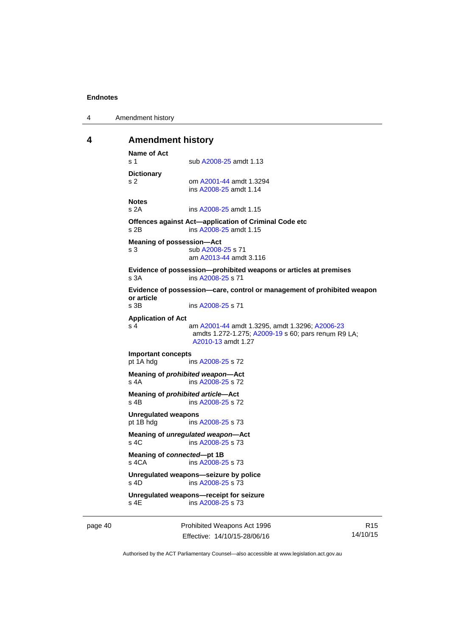4 Amendment history

### <span id="page-45-0"></span>**4 Amendment history**

```
Name of Act 
A2008-25 amdt 1.13
Dictionary 
s 2 om A2001-44 amdt 1.3294 
                ins A2008-25 amdt 1.14 
Notes 
s 2A ins A2008-25 amdt 1.15 
Offences against Act—application of Criminal Code etc 
s 2B ins A2008-25 amdt 1.15 
Meaning of possession—Act 
A2008-25 s 71
                am A2013-44 amdt 3.116
Evidence of possession—prohibited weapons or articles at premises 
s 3A ins A2008-25 s 71 
Evidence of possession—care, control or management of prohibited weapon 
or article 
                A2008-25 s 71
Application of Act 
s 4 am A2001-44 amdt 1.3295, amdt 1.3296; A2006-23
                amdts 1.272-1.275; A2009-19 s 60; pars renum R9 LA; 
                A2010-13 amdt 1.27 
Important concepts 
pt 1A hdg ins A2008-25 s 72 
Meaning of prohibited weapon—Act 
A2008-25 s 72
Meaning of prohibited article—Act 
A2008-25 s 72
Unregulated weapons 
pt 1B hdg ins A2008-25 s 73 
Meaning of unregulated weapon—Act 
 A2008-25 s 73
Meaning of connected—pt 1B 
s 4CA ins A2008-25 s 73 
Unregulated weapons—seizure by police 
s 4D ins A2008-25 s 73 
Unregulated weapons—receipt for seizure 
               A2008-25 s 73
```
page 40 **Prohibited Weapons Act 1996** Effective: 14/10/15-28/06/16

R15 14/10/15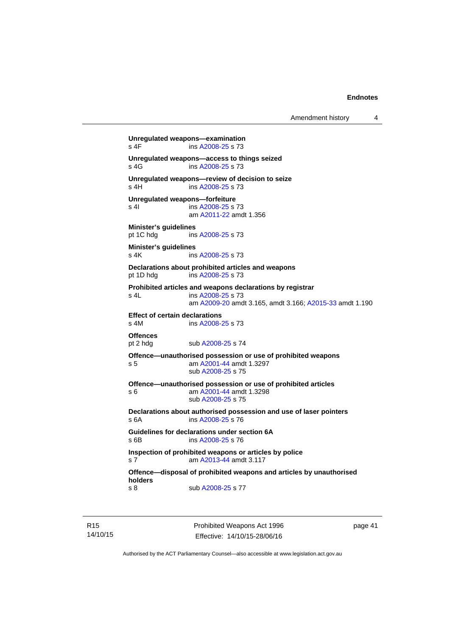Amendment history 4

```
Unregulated weapons—examination 
A2008-25 s 73
Unregulated weapons—access to things seized 
A2008-25 s 73
Unregulated weapons—review of decision to seize 
 A2008-25 s 73
Unregulated weapons—forfeiture 
A2008-25 s 73
                am A2011-22 amdt 1.356
Minister's guidelines 
pt 1C hdg ins A2008-25 s 73 
Minister's guidelines 
A2008-25 s 73
Declarations about prohibited articles and weapons 
pt 1D hdg ins A2008-25 s 73 
Prohibited articles and weapons declarations by registrar 
s 4L ins A2008-25 s 73 
                am A2009-20 amdt 3.165, amdt 3.166; A2015-33 amdt 1.190 
Effect of certain declarations 
s 4M ins A2008-25 s 73 
Offences<br>pt 2 hdg
               A2008-25 s 74
Offence—unauthorised possession or use of prohibited weapons 
s 5 am A2001-44 amdt 1.3297 
                sub A2008-25 s 75 
Offence—unauthorised possession or use of prohibited articles 
s 6 am A2001-44 amdt 1.3298 
                sub A2008-25 s 75 
Declarations about authorised possession and use of laser pointers 
s 6A ins A2008-25 s 76 
Guidelines for declarations under section 6A 
s 6B ins A2008-25 s 76 
Inspection of prohibited weapons or articles by police 
s 7 am A2013-44 amdt 3.117
Offence—disposal of prohibited weapons and articles by unauthorised 
holders 
A2008-25 s 77
```
R15 14/10/15 Prohibited Weapons Act 1996 Effective: 14/10/15-28/06/16

page 41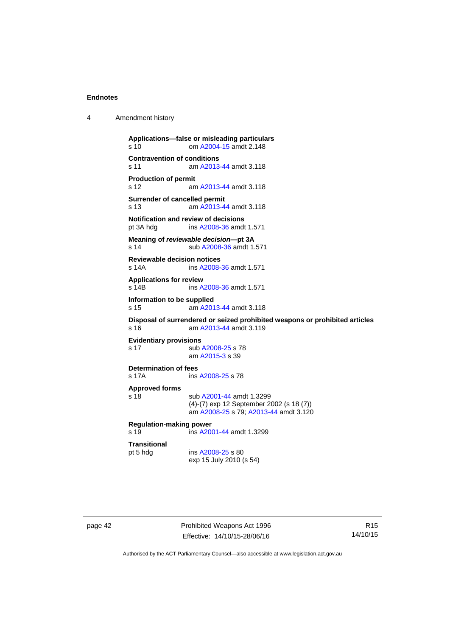4 Amendment history

```
Applications—false or misleading particulars 
s 10 om A2004-15 amdt 2.148
Contravention of conditions 
s 11 am A2013-44 amdt 3.118
Production of permit 
s 12 am A2013-44 amdt 3.118
Surrender of cancelled permit 
s 13 am A2013-44 amdt 3.118
Notification and review of decisions<br>pt 3A hdg ins A2008-36 amdt
                 A2008-36 amdt 1.571
Meaning of reviewable decision—pt 3A 
s 14 sub A2008-36 amdt 1.571 
Reviewable decision notices 
s 14A ins A2008-36 amdt 1.571 
Applications for review 
s 14B ins A2008-36 amdt 1.571 
Information to be supplied 
s 15 am A2013-44 amdt 3.118
Disposal of surrendered or seized prohibited weapons or prohibited articles 
s 16 am A2013-44 amdt 3.119
Evidentiary provisions 
A2008-25 s 78
                 am A2015-3 s 39 
Determination of fees<br>s 17A ins
                A2008-25 s 78
Approved forms 
s 18 sub A2001-44 amdt 1.3299 
                (4)-(7) exp 12 September 2002 (s 18 (7)) 
                 am A2008-25 s 79; A2013-44 amdt 3.120 
Regulation-making power 
s 19 ins A2001-44 amdt 1.3299 
Transitional 
                A2008-25 s 80
                exp 15 July 2010 (s 54)
```
page 42 Prohibited Weapons Act 1996 Effective: 14/10/15-28/06/16

R15 14/10/15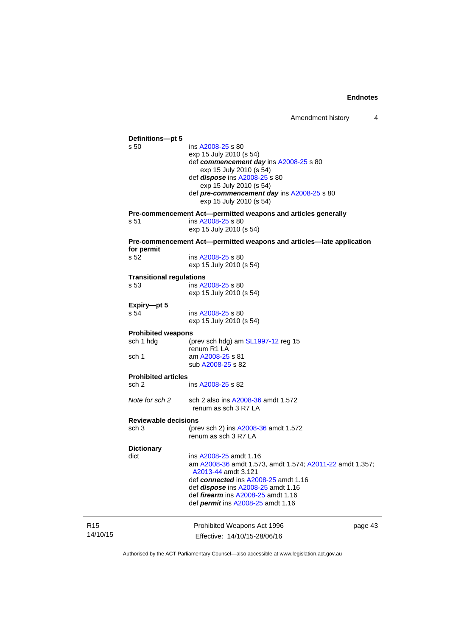| Amendment history |  |
|-------------------|--|
|                   |  |

|                 | Definitions-pt 5<br>s 50        | ins A2008-25 s 80<br>exp 15 July 2010 (s 54)<br>def commencement day ins A2008-25 s 80<br>exp 15 July 2010 (s 54)<br>def <i>dispose</i> ins A2008-25 s 80<br>exp 15 July 2010 (s 54)<br>def pre-commencement day ins A2008-25 s 80<br>exp 15 July 2010 (s 54) |         |
|-----------------|---------------------------------|---------------------------------------------------------------------------------------------------------------------------------------------------------------------------------------------------------------------------------------------------------------|---------|
|                 | s 51                            | Pre-commencement Act-permitted weapons and articles generally<br>ins A2008-25 s 80<br>exp 15 July 2010 (s 54)                                                                                                                                                 |         |
|                 |                                 | Pre-commencement Act—permitted weapons and articles—late application                                                                                                                                                                                          |         |
|                 | for permit                      |                                                                                                                                                                                                                                                               |         |
|                 | s 52                            | ins A2008-25 s 80<br>exp 15 July 2010 (s 54)                                                                                                                                                                                                                  |         |
|                 | <b>Transitional regulations</b> |                                                                                                                                                                                                                                                               |         |
|                 | s 53                            | ins A2008-25 s 80<br>exp 15 July 2010 (s 54)                                                                                                                                                                                                                  |         |
|                 | Expiry-pt 5                     |                                                                                                                                                                                                                                                               |         |
|                 | s 54                            | ins A2008-25 s 80<br>exp 15 July 2010 (s 54)                                                                                                                                                                                                                  |         |
|                 | <b>Prohibited weapons</b>       |                                                                                                                                                                                                                                                               |         |
|                 | sch 1 hdg                       | (prev sch hdg) am $SL1997-12$ reg 15<br>renum R1 LA                                                                                                                                                                                                           |         |
|                 | sch 1                           | am A2008-25 s 81<br>sub A2008-25 s 82                                                                                                                                                                                                                         |         |
|                 | <b>Prohibited articles</b>      |                                                                                                                                                                                                                                                               |         |
|                 | sch 2                           | ins A2008-25 s 82                                                                                                                                                                                                                                             |         |
|                 | Note for sch 2                  | sch 2 also ins A2008-36 amdt 1.572<br>renum as sch 3 R7 LA                                                                                                                                                                                                    |         |
|                 | <b>Reviewable decisions</b>     |                                                                                                                                                                                                                                                               |         |
|                 | sch 3                           | (prev sch 2) ins A2008-36 amdt 1.572<br>renum as sch 3 R7 LA                                                                                                                                                                                                  |         |
|                 | <b>Dictionary</b>               |                                                                                                                                                                                                                                                               |         |
|                 | dict                            | ins A2008-25 amdt 1.16<br>am A2008-36 amdt 1.573, amdt 1.574; A2011-22 amdt 1.357;<br>A2013-44 amdt 3.121                                                                                                                                                     |         |
|                 |                                 | def connected ins A2008-25 amdt 1.16<br>def <i>dispose</i> ins A2008-25 amdt 1.16<br>def <i>firearm</i> ins A2008-25 amdt 1.16<br>def <i>permit</i> ins A2008-25 amdt 1.16                                                                                    |         |
|                 |                                 |                                                                                                                                                                                                                                                               |         |
| R <sub>15</sub> |                                 | Prohibited Weapons Act 1996                                                                                                                                                                                                                                   | page 43 |
| 14/10/15        |                                 | Effective: 14/10/15-28/06/16                                                                                                                                                                                                                                  |         |

Authorised by the ACT Parliamentary Counsel—also accessible at www.legislation.act.gov.au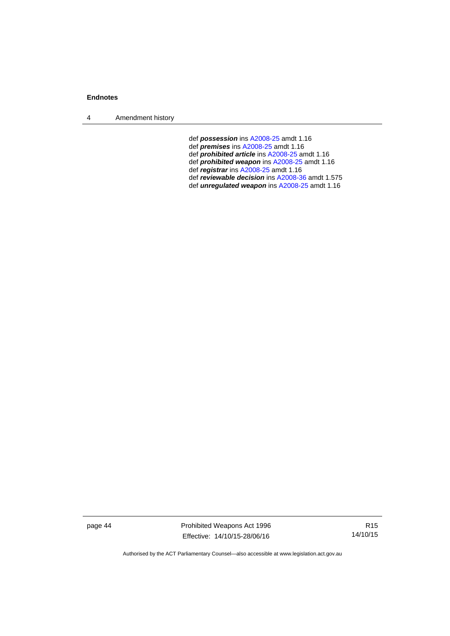4 Amendment history

- def *possession* ins [A2008-25](http://www.legislation.act.gov.au/a/2008-25) amdt 1.16
- def *premises* ins [A2008-25](http://www.legislation.act.gov.au/a/2008-25) amdt 1.16
- def *prohibited article* ins [A2008-25](http://www.legislation.act.gov.au/a/2008-25) amdt 1.16
- def *prohibited weapon* ins [A2008-25](http://www.legislation.act.gov.au/a/2008-25) amdt 1.16
- def *registrar* ins [A2008-25](http://www.legislation.act.gov.au/a/2008-25) amdt 1.16
	- def *reviewable decision* ins [A2008-36](http://www.legislation.act.gov.au/a/2008-36) amdt 1.575
	- def *unregulated weapon* ins [A2008-25](http://www.legislation.act.gov.au/a/2008-25) amdt 1.16

page 44 **Prohibited Weapons Act 1996** Effective: 14/10/15-28/06/16

R15 14/10/15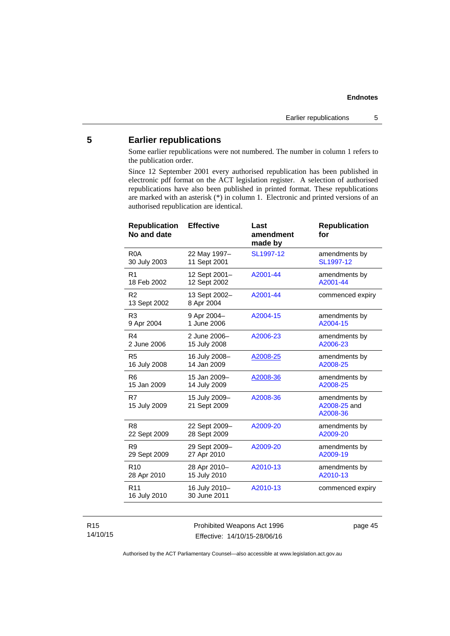# <span id="page-50-0"></span>**5 Earlier republications**

Some earlier republications were not numbered. The number in column 1 refers to the publication order.

Since 12 September 2001 every authorised republication has been published in electronic pdf format on the ACT legislation register. A selection of authorised republications have also been published in printed format. These republications are marked with an asterisk (\*) in column 1. Electronic and printed versions of an authorised republication are identical.

| <b>Effective</b>              | Last<br>amendment<br>made by | <b>Republication</b><br>for               |
|-------------------------------|------------------------------|-------------------------------------------|
| 22 May 1997-<br>11 Sept 2001  | SL1997-12                    | amendments by<br>SL1997-12                |
| 12 Sept 2001-<br>12 Sept 2002 | A2001-44                     | amendments by<br>A2001-44                 |
| 13 Sept 2002-<br>8 Apr 2004   | A2001-44                     | commenced expiry                          |
| 9 Apr 2004-<br>1 June 2006    | A2004-15                     | amendments by<br>A2004-15                 |
| 2 June 2006-<br>15 July 2008  | A2006-23                     | amendments by<br>A2006-23                 |
| 16 July 2008-<br>14 Jan 2009  | A2008-25                     | amendments by<br>A2008-25                 |
| 15 Jan 2009-<br>14 July 2009  | A2008-36                     | amendments by<br>A2008-25                 |
| 15 July 2009-<br>21 Sept 2009 | A2008-36                     | amendments by<br>A2008-25 and<br>A2008-36 |
| 22 Sept 2009-<br>28 Sept 2009 | A2009-20                     | amendments by<br>A2009-20                 |
| 29 Sept 2009-<br>27 Apr 2010  | A2009-20                     | amendments by<br>A2009-19                 |
| 28 Apr 2010-<br>15 July 2010  | A2010-13                     | amendments by<br>A2010-13                 |
| 16 July 2010-<br>30 June 2011 | A2010-13                     | commenced expiry                          |
|                               |                              |                                           |

### R15 14/10/15

Prohibited Weapons Act 1996 Effective: 14/10/15-28/06/16

page 45